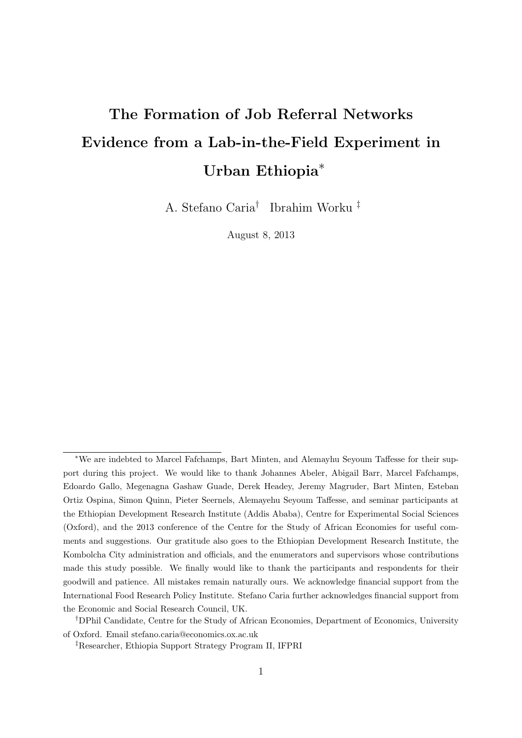# The Formation of Job Referral Networks Evidence from a Lab-in-the-Field Experiment in Urban Ethiopia<sup>\*</sup>

A. Stefano Caria† Ibrahim Worku ‡

August 8, 2013

<sup>∗</sup>We are indebted to Marcel Fafchamps, Bart Minten, and Alemayhu Seyoum Taffesse for their support during this project. We would like to thank Johannes Abeler, Abigail Barr, Marcel Fafchamps, Edoardo Gallo, Megenagna Gashaw Guade, Derek Headey, Jeremy Magruder, Bart Minten, Esteban Ortiz Ospina, Simon Quinn, Pieter Seernels, Alemayehu Seyoum Taffesse, and seminar participants at the Ethiopian Development Research Institute (Addis Ababa), Centre for Experimental Social Sciences (Oxford), and the 2013 conference of the Centre for the Study of African Economies for useful comments and suggestions. Our gratitude also goes to the Ethiopian Development Research Institute, the Kombolcha City administration and officials, and the enumerators and supervisors whose contributions made this study possible. We finally would like to thank the participants and respondents for their goodwill and patience. All mistakes remain naturally ours. We acknowledge financial support from the International Food Research Policy Institute. Stefano Caria further acknowledges financial support from the Economic and Social Research Council, UK.

<sup>†</sup>DPhil Candidate, Centre for the Study of African Economies, Department of Economics, University of Oxford. Email stefano.caria@economics.ox.ac.uk

<sup>‡</sup>Researcher, Ethiopia Support Strategy Program II, IFPRI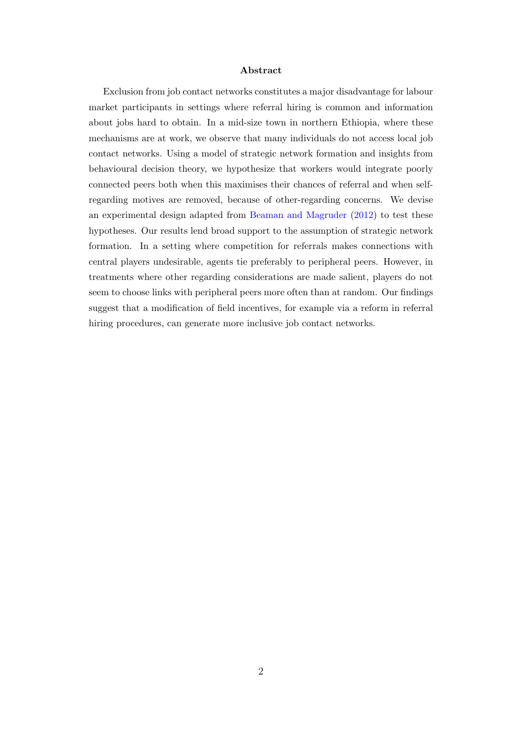#### Abstract

Exclusion from job contact networks constitutes a major disadvantage for labour market participants in settings where referral hiring is common and information about jobs hard to obtain. In a mid-size town in northern Ethiopia, where these mechanisms are at work, we observe that many individuals do not access local job contact networks. Using a model of strategic network formation and insights from behavioural decision theory, we hypothesize that workers would integrate poorly connected peers both when this maximises their chances of referral and when selfregarding motives are removed, because of other-regarding concerns. We devise an experimental design adapted from [Beaman and Magruder](#page-27-0) [\(2012\)](#page-27-0) to test these hypotheses. Our results lend broad support to the assumption of strategic network formation. In a setting where competition for referrals makes connections with central players undesirable, agents tie preferably to peripheral peers. However, in treatments where other regarding considerations are made salient, players do not seem to choose links with peripheral peers more often than at random. Our findings suggest that a modification of field incentives, for example via a reform in referral hiring procedures, can generate more inclusive job contact networks.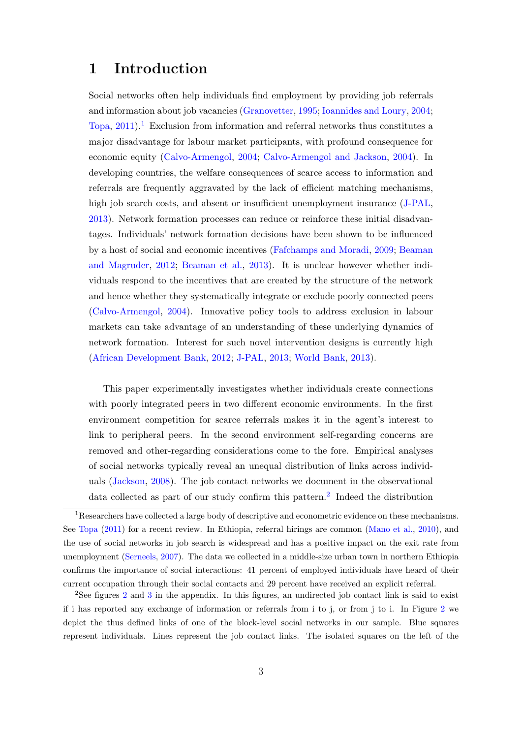## 1 Introduction

Social networks often help individuals find employment by providing job referrals and information about job vacancies [\(Granovetter,](#page-29-0) [1995;](#page-29-0) [Ioannides and Loury,](#page-29-1) [2004;](#page-29-1) [Topa,](#page-30-0)  $2011$  $2011$  $2011$ .<sup>1</sup> Exclusion from information and referral networks thus constitutes a major disadvantage for labour market participants, with profound consequence for economic equity [\(Calvo-Armengol,](#page-27-1) [2004;](#page-27-1) [Calvo-Armengol and Jackson,](#page-27-2) [2004\)](#page-27-2). In developing countries, the welfare consequences of scarce access to information and referrals are frequently aggravated by the lack of efficient matching mechanisms, high job search costs, and absent or insufficient unemployment insurance [\(J-PAL,](#page-29-2) [2013\)](#page-29-2). Network formation processes can reduce or reinforce these initial disadvantages. Individuals' network formation decisions have been shown to be influenced by a host of social and economic incentives [\(Fafchamps and Moradi,](#page-28-0) [2009;](#page-28-0) [Beaman](#page-27-0) [and Magruder,](#page-27-0) [2012;](#page-27-0) [Beaman et al.,](#page-27-3) [2013\)](#page-27-3). It is unclear however whether individuals respond to the incentives that are created by the structure of the network and hence whether they systematically integrate or exclude poorly connected peers [\(Calvo-Armengol,](#page-27-1) [2004\)](#page-27-1). Innovative policy tools to address exclusion in labour markets can take advantage of an understanding of these underlying dynamics of network formation. Interest for such novel intervention designs is currently high [\(African Development Bank,](#page-30-1) [2012;](#page-30-1) [J-PAL,](#page-29-2) [2013;](#page-29-2) [World Bank,](#page-30-2) [2013\)](#page-30-2).

This paper experimentally investigates whether individuals create connections with poorly integrated peers in two different economic environments. In the first environment competition for scarce referrals makes it in the agent's interest to link to peripheral peers. In the second environment self-regarding concerns are removed and other-regarding considerations come to the fore. Empirical analyses of social networks typically reveal an unequal distribution of links across individuals [\(Jackson,](#page-29-3) [2008\)](#page-29-3). The job contact networks we document in the observational data collected as part of our study confirm this pattern.<sup>[2](#page-2-1)</sup> Indeed the distribution

<span id="page-2-0"></span> $1$ Researchers have collected a large body of descriptive and econometric evidence on these mechanisms. See [Topa](#page-30-0) [\(2011\)](#page-30-0) for a recent review. In Ethiopia, referral hirings are common [\(Mano et al.,](#page-30-3) [2010\)](#page-30-3), and the use of social networks in job search is widespread and has a positive impact on the exit rate from unemployment [\(Serneels,](#page-30-4) [2007\)](#page-30-4). The data we collected in a middle-size urban town in northern Ethiopia confirms the importance of social interactions: 41 percent of employed individuals have heard of their current occupation through their social contacts and 29 percent have received an explicit referral.

<span id="page-2-1"></span><sup>&</sup>lt;sup>[2](#page-34-0)</sup>See figures 2 and [3](#page-34-1) in the appendix. In this figures, an undirected job contact link is said to exist if i has reported any exchange of information or referrals from i to j, or from j to i. In Figure [2](#page-34-0) we depict the thus defined links of one of the block-level social networks in our sample. Blue squares represent individuals. Lines represent the job contact links. The isolated squares on the left of the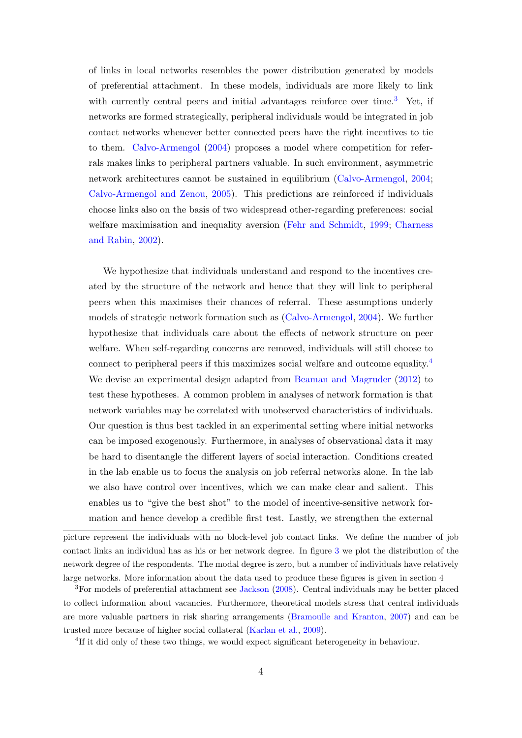of links in local networks resembles the power distribution generated by models of preferential attachment. In these models, individuals are more likely to link with currently central peers and initial advantages reinforce over time.<sup>[3](#page-3-0)</sup> Yet, if networks are formed strategically, peripheral individuals would be integrated in job contact networks whenever better connected peers have the right incentives to tie to them. [Calvo-Armengol](#page-27-1) [\(2004\)](#page-27-1) proposes a model where competition for referrals makes links to peripheral partners valuable. In such environment, asymmetric network architectures cannot be sustained in equilibrium [\(Calvo-Armengol,](#page-27-1) [2004;](#page-27-1) [Calvo-Armengol and Zenou,](#page-27-4) [2005\)](#page-27-4). This predictions are reinforced if individuals choose links also on the basis of two widespread other-regarding preferences: social welfare maximisation and inequality aversion [\(Fehr and Schmidt,](#page-28-1) [1999;](#page-28-1) [Charness](#page-28-2) [and Rabin,](#page-28-2) [2002\)](#page-28-2).

We hypothesize that individuals understand and respond to the incentives created by the structure of the network and hence that they will link to peripheral peers when this maximises their chances of referral. These assumptions underly models of strategic network formation such as [\(Calvo-Armengol,](#page-27-1) [2004\)](#page-27-1). We further hypothesize that individuals care about the effects of network structure on peer welfare. When self-regarding concerns are removed, individuals will still choose to connect to peripheral peers if this maximizes social welfare and outcome equality.[4](#page-3-1) We devise an experimental design adapted from [Beaman and Magruder](#page-27-0) [\(2012\)](#page-27-0) to test these hypotheses. A common problem in analyses of network formation is that network variables may be correlated with unobserved characteristics of individuals. Our question is thus best tackled in an experimental setting where initial networks can be imposed exogenously. Furthermore, in analyses of observational data it may be hard to disentangle the different layers of social interaction. Conditions created in the lab enable us to focus the analysis on job referral networks alone. In the lab we also have control over incentives, which we can make clear and salient. This enables us to "give the best shot" to the model of incentive-sensitive network formation and hence develop a credible first test. Lastly, we strengthen the external

<span id="page-3-1"></span><sup>4</sup>If it did only of these two things, we would expect significant heterogeneity in behaviour.

picture represent the individuals with no block-level job contact links. We define the number of job contact links an individual has as his or her network degree. In figure [3](#page-34-1) we plot the distribution of the network degree of the respondents. The modal degree is zero, but a number of individuals have relatively large networks. More information about the data used to produce these figures is given in section 4

<span id="page-3-0"></span><sup>&</sup>lt;sup>3</sup>For models of preferential attachment see [Jackson](#page-29-3) [\(2008\)](#page-29-3). Central individuals may be better placed to collect information about vacancies. Furthermore, theoretical models stress that central individuals are more valuable partners in risk sharing arrangements [\(Bramoulle and Kranton,](#page-27-5) [2007\)](#page-27-5) and can be trusted more because of higher social collateral [\(Karlan et al.,](#page-29-4) [2009\)](#page-29-4).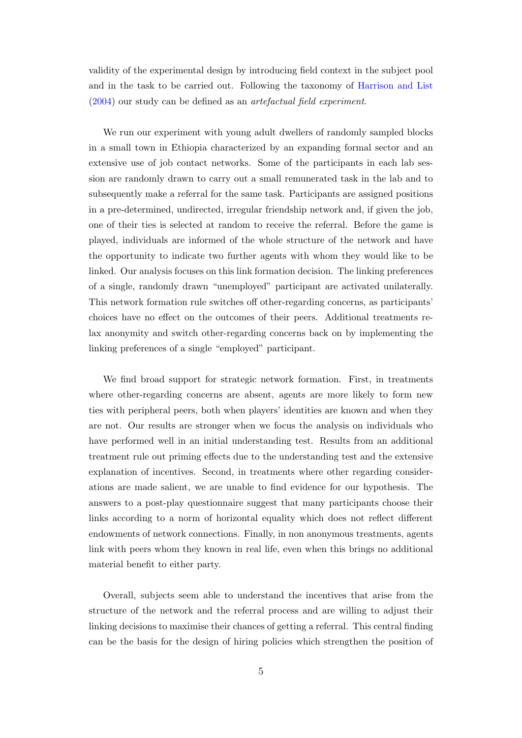validity of the experimental design by introducing field context in the subject pool and in the task to be carried out. Following the taxonomy of [Harrison and List](#page-29-5) [\(2004\)](#page-29-5) our study can be defined as an artefactual field experiment.

We run our experiment with young adult dwellers of randomly sampled blocks in a small town in Ethiopia characterized by an expanding formal sector and an extensive use of job contact networks. Some of the participants in each lab session are randomly drawn to carry out a small remunerated task in the lab and to subsequently make a referral for the same task. Participants are assigned positions in a pre-determined, undirected, irregular friendship network and, if given the job, one of their ties is selected at random to receive the referral. Before the game is played, individuals are informed of the whole structure of the network and have the opportunity to indicate two further agents with whom they would like to be linked. Our analysis focuses on this link formation decision. The linking preferences of a single, randomly drawn "unemployed" participant are activated unilaterally. This network formation rule switches off other-regarding concerns, as participants' choices have no effect on the outcomes of their peers. Additional treatments relax anonymity and switch other-regarding concerns back on by implementing the linking preferences of a single "employed" participant.

We find broad support for strategic network formation. First, in treatments where other-regarding concerns are absent, agents are more likely to form new ties with peripheral peers, both when players' identities are known and when they are not. Our results are stronger when we focus the analysis on individuals who have performed well in an initial understanding test. Results from an additional treatment rule out priming effects due to the understanding test and the extensive explanation of incentives. Second, in treatments where other regarding considerations are made salient, we are unable to find evidence for our hypothesis. The answers to a post-play questionnaire suggest that many participants choose their links according to a norm of horizontal equality which does not reflect different endowments of network connections. Finally, in non anonymous treatments, agents link with peers whom they known in real life, even when this brings no additional material benefit to either party.

Overall, subjects seem able to understand the incentives that arise from the structure of the network and the referral process and are willing to adjust their linking decisions to maximise their chances of getting a referral. This central finding can be the basis for the design of hiring policies which strengthen the position of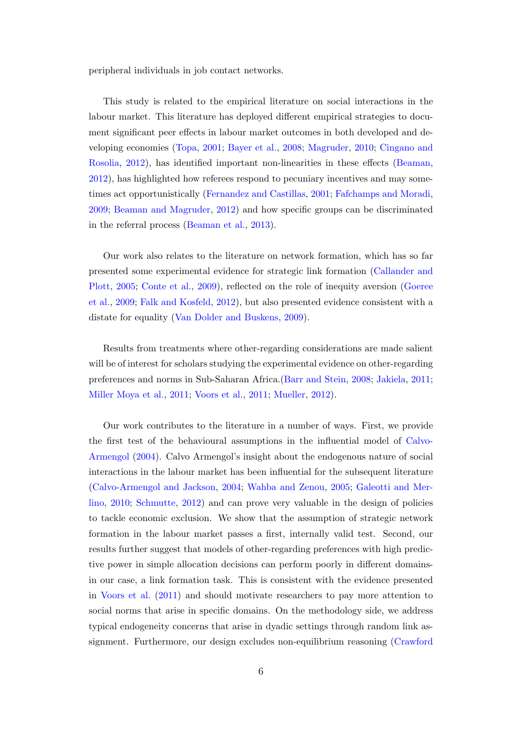peripheral individuals in job contact networks.

This study is related to the empirical literature on social interactions in the labour market. This literature has deployed different empirical strategies to document significant peer effects in labour market outcomes in both developed and developing economies [\(Topa,](#page-30-5) [2001;](#page-30-5) [Bayer et al.,](#page-27-6) [2008;](#page-27-6) [Magruder,](#page-30-6) [2010;](#page-30-6) [Cingano and](#page-28-3) [Rosolia,](#page-28-3) [2012\)](#page-28-3), has identified important non-linearities in these effects [\(Beaman,](#page-27-7) [2012\)](#page-27-7), has highlighted how referees respond to pecuniary incentives and may sometimes act opportunistically [\(Fernandez and Castillas,](#page-28-4) [2001;](#page-28-4) [Fafchamps and Moradi,](#page-28-0) [2009;](#page-28-0) [Beaman and Magruder,](#page-27-0) [2012\)](#page-27-0) and how specific groups can be discriminated in the referral process [\(Beaman et al.,](#page-27-3) [2013\)](#page-27-3).

Our work also relates to the literature on network formation, which has so far presented some experimental evidence for strategic link formation [\(Callander and](#page-27-8) [Plott,](#page-27-8) [2005;](#page-27-8) [Conte et al.,](#page-28-5) [2009\)](#page-28-5), reflected on the role of inequity aversion [\(Goeree](#page-29-6) [et al.,](#page-29-6) [2009;](#page-29-6) [Falk and Kosfeld,](#page-28-6) [2012\)](#page-28-6), but also presented evidence consistent with a distate for equality [\(Van Dolder and Buskens,](#page-30-7) [2009\)](#page-30-7).

Results from treatments where other-regarding considerations are made salient will be of interest for scholars studying the experimental evidence on other-regarding preferences and norms in Sub-Saharan Africa.[\(Barr and Stein,](#page-27-9) [2008;](#page-27-9) [Jakiela,](#page-29-7) [2011;](#page-29-7) [Miller Moya et al.,](#page-30-8) [2011;](#page-30-8) [Voors et al.,](#page-31-0) [2011;](#page-31-0) [Mueller,](#page-30-9) [2012\)](#page-30-9).

Our work contributes to the literature in a number of ways. First, we provide the first test of the behavioural assumptions in the influential model of [Calvo-](#page-27-1)[Armengol](#page-27-1) [\(2004\)](#page-27-1). Calvo Armengol's insight about the endogenous nature of social interactions in the labour market has been influential for the subsequent literature [\(Calvo-Armengol and Jackson,](#page-27-2) [2004;](#page-27-2) [Wahba and Zenou,](#page-31-1) [2005;](#page-31-1) [Galeotti and Mer](#page-29-8)[lino,](#page-29-8) [2010;](#page-29-8) [Schmutte,](#page-30-10) [2012\)](#page-30-10) and can prove very valuable in the design of policies to tackle economic exclusion. We show that the assumption of strategic network formation in the labour market passes a first, internally valid test. Second, our results further suggest that models of other-regarding preferences with high predictive power in simple allocation decisions can perform poorly in different domainsin our case, a link formation task. This is consistent with the evidence presented in [Voors et al.](#page-31-0) [\(2011\)](#page-31-0) and should motivate researchers to pay more attention to social norms that arise in specific domains. On the methodology side, we address typical endogeneity concerns that arise in dyadic settings through random link assignment. Furthermore, our design excludes non-equilibrium reasoning [\(Crawford](#page-28-7)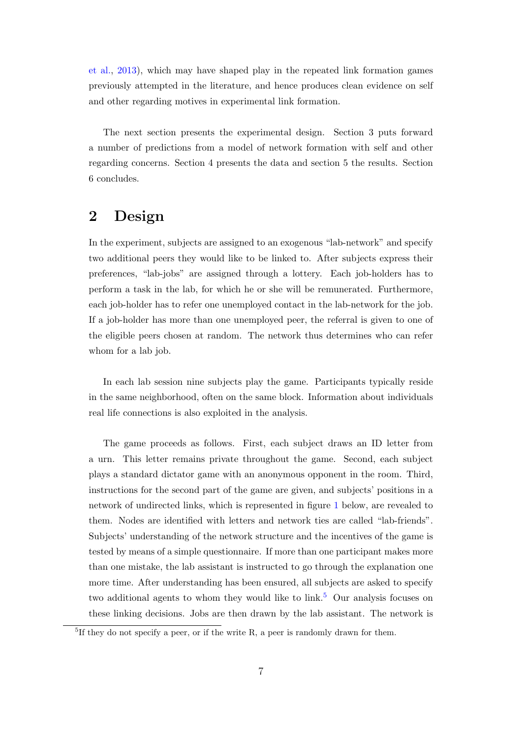[et al.,](#page-28-7) [2013\)](#page-28-7), which may have shaped play in the repeated link formation games previously attempted in the literature, and hence produces clean evidence on self and other regarding motives in experimental link formation.

The next section presents the experimental design. Section 3 puts forward a number of predictions from a model of network formation with self and other regarding concerns. Section 4 presents the data and section 5 the results. Section 6 concludes.

## 2 Design

In the experiment, subjects are assigned to an exogenous "lab-network" and specify two additional peers they would like to be linked to. After subjects express their preferences, "lab-jobs" are assigned through a lottery. Each job-holders has to perform a task in the lab, for which he or she will be remunerated. Furthermore, each job-holder has to refer one unemployed contact in the lab-network for the job. If a job-holder has more than one unemployed peer, the referral is given to one of the eligible peers chosen at random. The network thus determines who can refer whom for a lab job.

In each lab session nine subjects play the game. Participants typically reside in the same neighborhood, often on the same block. Information about individuals real life connections is also exploited in the analysis.

The game proceeds as follows. First, each subject draws an ID letter from a urn. This letter remains private throughout the game. Second, each subject plays a standard dictator game with an anonymous opponent in the room. Third, instructions for the second part of the game are given, and subjects' positions in a network of undirected links, which is represented in figure [1](#page-11-0) below, are revealed to them. Nodes are identified with letters and network ties are called "lab-friends". Subjects' understanding of the network structure and the incentives of the game is tested by means of a simple questionnaire. If more than one participant makes more than one mistake, the lab assistant is instructed to go through the explanation one more time. After understanding has been ensured, all subjects are asked to specify two additional agents to whom they would like to  $link<sup>5</sup>$  $link<sup>5</sup>$  $link<sup>5</sup>$  Our analysis focuses on these linking decisions. Jobs are then drawn by the lab assistant. The network is

<span id="page-6-0"></span><sup>&</sup>lt;sup>5</sup>If they do not specify a peer, or if the write R, a peer is randomly drawn for them.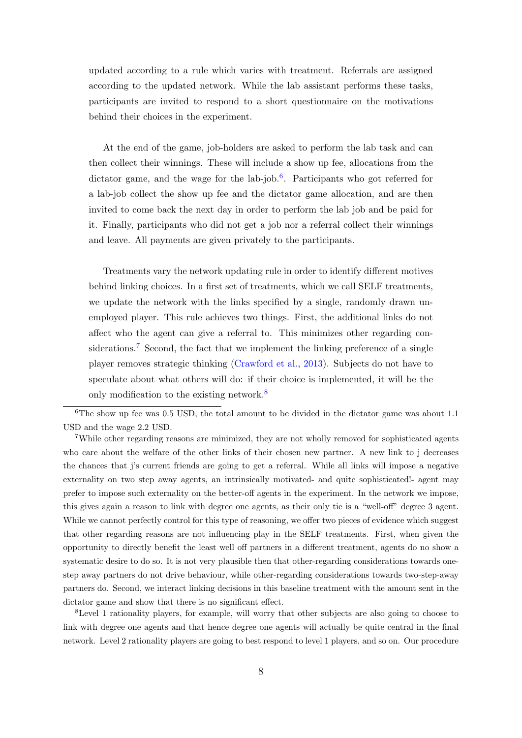updated according to a rule which varies with treatment. Referrals are assigned according to the updated network. While the lab assistant performs these tasks, participants are invited to respond to a short questionnaire on the motivations behind their choices in the experiment.

At the end of the game, job-holders are asked to perform the lab task and can then collect their winnings. These will include a show up fee, allocations from the dictator game, and the wage for the lab-job. $6$ . Participants who got referred for a lab-job collect the show up fee and the dictator game allocation, and are then invited to come back the next day in order to perform the lab job and be paid for it. Finally, participants who did not get a job nor a referral collect their winnings and leave. All payments are given privately to the participants.

Treatments vary the network updating rule in order to identify different motives behind linking choices. In a first set of treatments, which we call SELF treatments, we update the network with the links specified by a single, randomly drawn unemployed player. This rule achieves two things. First, the additional links do not affect who the agent can give a referral to. This minimizes other regarding con-siderations.<sup>[7](#page-7-1)</sup> Second, the fact that we implement the linking preference of a single player removes strategic thinking [\(Crawford et al.,](#page-28-7) [2013\)](#page-28-7). Subjects do not have to speculate about what others will do: if their choice is implemented, it will be the only modification to the existing network.<sup>[8](#page-7-2)</sup>

<span id="page-7-2"></span><sup>8</sup>Level 1 rationality players, for example, will worry that other subjects are also going to choose to link with degree one agents and that hence degree one agents will actually be quite central in the final network. Level 2 rationality players are going to best respond to level 1 players, and so on. Our procedure

<span id="page-7-0"></span> $6$ The show up fee was 0.5 USD, the total amount to be divided in the dictator game was about 1.1 USD and the wage 2.2 USD.

<span id="page-7-1"></span><sup>&</sup>lt;sup>7</sup>While other regarding reasons are minimized, they are not wholly removed for sophisticated agents who care about the welfare of the other links of their chosen new partner. A new link to j decreases the chances that j's current friends are going to get a referral. While all links will impose a negative externality on two step away agents, an intrinsically motivated- and quite sophisticated!- agent may prefer to impose such externality on the better-off agents in the experiment. In the network we impose, this gives again a reason to link with degree one agents, as their only tie is a "well-off" degree 3 agent. While we cannot perfectly control for this type of reasoning, we offer two pieces of evidence which suggest that other regarding reasons are not influencing play in the SELF treatments. First, when given the opportunity to directly benefit the least well off partners in a different treatment, agents do no show a systematic desire to do so. It is not very plausible then that other-regarding considerations towards onestep away partners do not drive behaviour, while other-regarding considerations towards two-step-away partners do. Second, we interact linking decisions in this baseline treatment with the amount sent in the dictator game and show that there is no significant effect.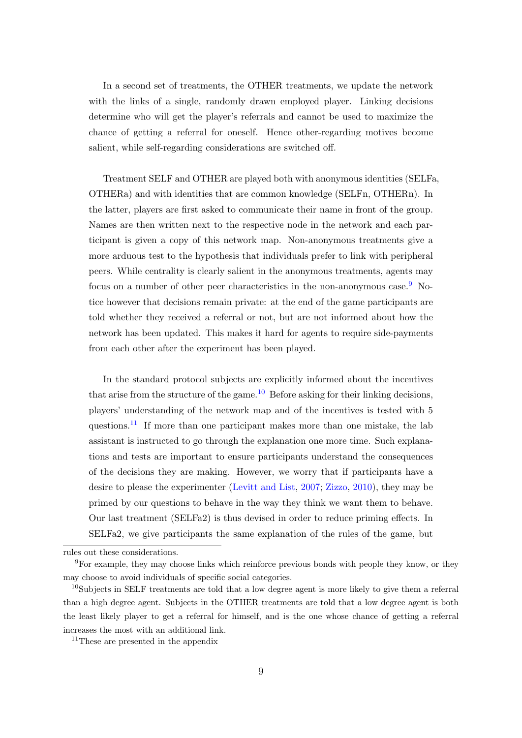In a second set of treatments, the OTHER treatments, we update the network with the links of a single, randomly drawn employed player. Linking decisions determine who will get the player's referrals and cannot be used to maximize the chance of getting a referral for oneself. Hence other-regarding motives become salient, while self-regarding considerations are switched off.

Treatment SELF and OTHER are played both with anonymous identities (SELFa, OTHERa) and with identities that are common knowledge (SELFn, OTHERn). In the latter, players are first asked to communicate their name in front of the group. Names are then written next to the respective node in the network and each participant is given a copy of this network map. Non-anonymous treatments give a more arduous test to the hypothesis that individuals prefer to link with peripheral peers. While centrality is clearly salient in the anonymous treatments, agents may focus on a number of other peer characteristics in the non-anonymous case.<sup>[9](#page-8-0)</sup> Notice however that decisions remain private: at the end of the game participants are told whether they received a referral or not, but are not informed about how the network has been updated. This makes it hard for agents to require side-payments from each other after the experiment has been played.

In the standard protocol subjects are explicitly informed about the incentives that arise from the structure of the game.<sup>[10](#page-8-1)</sup> Before asking for their linking decisions, players' understanding of the network map and of the incentives is tested with 5 questions.<sup>[11](#page-8-2)</sup> If more than one participant makes more than one mistake, the lab assistant is instructed to go through the explanation one more time. Such explanations and tests are important to ensure participants understand the consequences of the decisions they are making. However, we worry that if participants have a desire to please the experimenter [\(Levitt and List,](#page-29-9) [2007;](#page-29-9) [Zizzo,](#page-31-2) [2010\)](#page-31-2), they may be primed by our questions to behave in the way they think we want them to behave. Our last treatment (SELFa2) is thus devised in order to reduce priming effects. In SELFa2, we give participants the same explanation of the rules of the game, but

<span id="page-8-0"></span>rules out these considerations.

<sup>9</sup>For example, they may choose links which reinforce previous bonds with people they know, or they may choose to avoid individuals of specific social categories.

<span id="page-8-1"></span><sup>10</sup>Subjects in SELF treatments are told that a low degree agent is more likely to give them a referral than a high degree agent. Subjects in the OTHER treatments are told that a low degree agent is both the least likely player to get a referral for himself, and is the one whose chance of getting a referral increases the most with an additional link.

<span id="page-8-2"></span><sup>&</sup>lt;sup>11</sup>These are presented in the appendix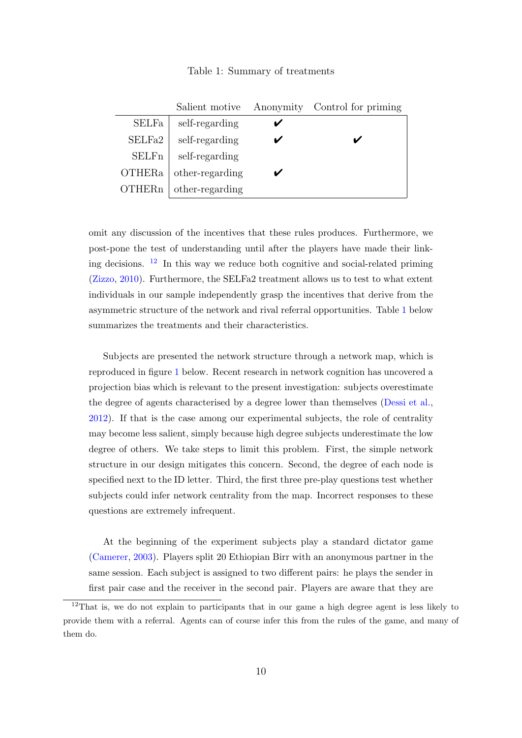### Table 1: Summary of treatments

<span id="page-9-1"></span>

|               | Salient motive  | Anonymity Control for priming |
|---------------|-----------------|-------------------------------|
| <b>SELFa</b>  | self-regarding  |                               |
| SELFa2        | self-regarding  |                               |
| SELFn         | self-regarding  |                               |
| <b>OTHERa</b> | other-regarding |                               |
| OTHERn        | other-regarding |                               |

omit any discussion of the incentives that these rules produces. Furthermore, we post-pone the test of understanding until after the players have made their linking decisions.  $12$  In this way we reduce both cognitive and social-related priming [\(Zizzo,](#page-31-2) [2010\)](#page-31-2). Furthermore, the SELFa2 treatment allows us to test to what extent individuals in our sample independently grasp the incentives that derive from the asymmetric structure of the network and rival referral opportunities. Table [1](#page-9-1) below summarizes the treatments and their characteristics.

Subjects are presented the network structure through a network map, which is reproduced in figure [1](#page-11-0) below. Recent research in network cognition has uncovered a projection bias which is relevant to the present investigation: subjects overestimate the degree of agents characterised by a degree lower than themselves [\(Dessi et al.,](#page-28-8) [2012\)](#page-28-8). If that is the case among our experimental subjects, the role of centrality may become less salient, simply because high degree subjects underestimate the low degree of others. We take steps to limit this problem. First, the simple network structure in our design mitigates this concern. Second, the degree of each node is specified next to the ID letter. Third, the first three pre-play questions test whether subjects could infer network centrality from the map. Incorrect responses to these questions are extremely infrequent.

At the beginning of the experiment subjects play a standard dictator game [\(Camerer,](#page-28-9) [2003\)](#page-28-9). Players split 20 Ethiopian Birr with an anonymous partner in the same session. Each subject is assigned to two different pairs: he plays the sender in first pair case and the receiver in the second pair. Players are aware that they are

<span id="page-9-0"></span><sup>&</sup>lt;sup>12</sup>That is, we do not explain to participants that in our game a high degree agent is less likely to provide them with a referral. Agents can of course infer this from the rules of the game, and many of them do.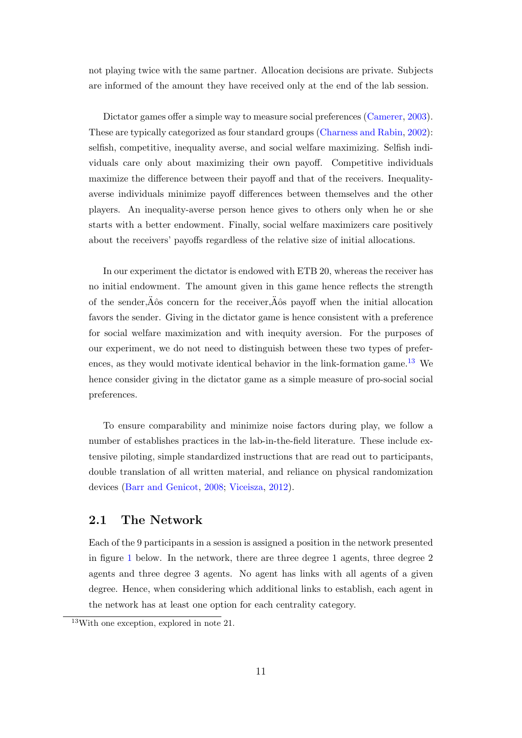not playing twice with the same partner. Allocation decisions are private. Subjects are informed of the amount they have received only at the end of the lab session.

Dictator games offer a simple way to measure social preferences [\(Camerer,](#page-28-9) [2003\)](#page-28-9). These are typically categorized as four standard groups [\(Charness and Rabin,](#page-28-2) [2002\)](#page-28-2): selfish, competitive, inequality averse, and social welfare maximizing. Selfish individuals care only about maximizing their own payoff. Competitive individuals maximize the difference between their payoff and that of the receivers. Inequalityaverse individuals minimize payoff differences between themselves and the other players. An inequality-averse person hence gives to others only when he or she starts with a better endowment. Finally, social welfare maximizers care positively about the receivers' payoffs regardless of the relative size of initial allocations.

In our experiment the dictator is endowed with ETB 20, whereas the receiver has no initial endowment. The amount given in this game hence reflects the strength of the sender, $\ddot{A}$ ôs concern for the receiver, $\ddot{A}$ ôs payoff when the initial allocation favors the sender. Giving in the dictator game is hence consistent with a preference for social welfare maximization and with inequity aversion. For the purposes of our experiment, we do not need to distinguish between these two types of prefer-ences, as they would motivate identical behavior in the link-formation game.<sup>[13](#page-10-0)</sup> We hence consider giving in the dictator game as a simple measure of pro-social social preferences.

To ensure comparability and minimize noise factors during play, we follow a number of establishes practices in the lab-in-the-field literature. These include extensive piloting, simple standardized instructions that are read out to participants, double translation of all written material, and reliance on physical randomization devices [\(Barr and Genicot,](#page-27-10) [2008;](#page-27-10) [Viceisza,](#page-31-3) [2012\)](#page-31-3).

### 2.1 The Network

Each of the 9 participants in a session is assigned a position in the network presented in figure [1](#page-11-0) below. In the network, there are three degree 1 agents, three degree 2 agents and three degree 3 agents. No agent has links with all agents of a given degree. Hence, when considering which additional links to establish, each agent in the network has at least one option for each centrality category.

<span id="page-10-0"></span><sup>13</sup>With one exception, explored in note 21.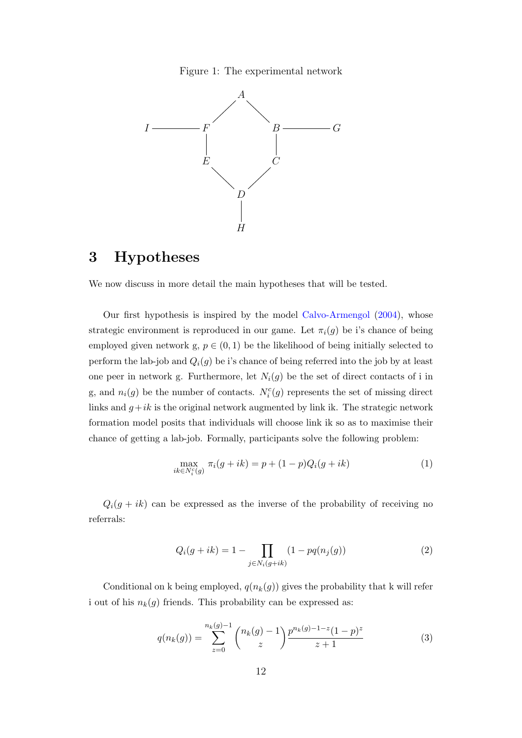Figure 1: The experimental network

<span id="page-11-0"></span>

## 3 Hypotheses

We now discuss in more detail the main hypotheses that will be tested.

Our first hypothesis is inspired by the model [Calvo-Armengol](#page-27-1) [\(2004\)](#page-27-1), whose strategic environment is reproduced in our game. Let  $\pi_i(g)$  be i's chance of being employed given network g,  $p \in (0,1)$  be the likelihood of being initially selected to perform the lab-job and  $Q_i(g)$  be i's chance of being referred into the job by at least one peer in network g. Furthermore, let  $N_i(g)$  be the set of direct contacts of i in g, and  $n_i(g)$  be the number of contacts.  $N_i^c(g)$  represents the set of missing direct links and  $g+ik$  is the original network augmented by link ik. The strategic network formation model posits that individuals will choose link ik so as to maximise their chance of getting a lab-job. Formally, participants solve the following problem:

<span id="page-11-2"></span>
$$
\max_{ik \in N_i^c(g)} \pi_i(g + ik) = p + (1 - p)Q_i(g + ik)
$$
\n(1)

 $Q_i(g + i k)$  can be expressed as the inverse of the probability of receiving no referrals:

$$
Q_i(g+ik) = 1 - \prod_{j \in N_i(g+ik)} (1 - pq(n_j(g))
$$
 (2)

Conditional on k being employed,  $q(n_k(g))$  gives the probability that k will refer i out of his  $n_k(g)$  friends. This probability can be expressed as:

<span id="page-11-1"></span>
$$
q(n_k(g)) = \sum_{z=0}^{n_k(g)-1} {n_k(g)-1 \choose z} \frac{p^{n_k(g)-1-z}(1-p)^z}{z+1}
$$
 (3)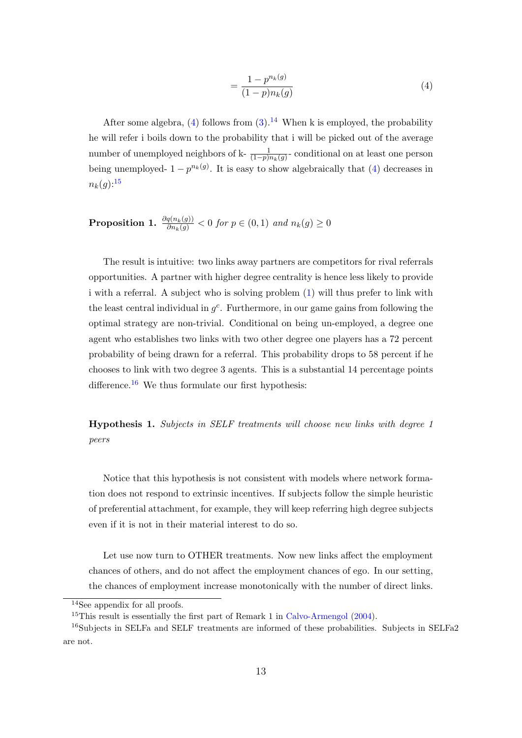<span id="page-12-0"></span>
$$
=\frac{1-p^{n_k(g)}}{(1-p)n_k(g)}
$$
\n(4)

After some algebra, [\(4\)](#page-12-0) follows from  $(3)$ .<sup>[14](#page-12-1)</sup> When k is employed, the probability he will refer i boils down to the probability that i will be picked out of the average number of unemployed neighbors of k- $\frac{1}{(1-p)n_k(g)}$ -conditional on at least one person being unemployed-  $1 - p^{n_k(g)}$ . It is easy to show algebraically that [\(4\)](#page-12-0) decreases in  $n_k(q)$ :<sup>[15](#page-12-2)</sup>

**Proposition 1.** 
$$
\frac{\partial q(n_k(g))}{\partial n_k(g)} < 0
$$
 for  $p \in (0,1)$  and  $n_k(g) \ge 0$ 

The result is intuitive: two links away partners are competitors for rival referrals opportunities. A partner with higher degree centrality is hence less likely to provide i with a referral. A subject who is solving problem [\(1\)](#page-11-2) will thus prefer to link with the least central individual in  $g<sup>c</sup>$ . Furthermore, in our game gains from following the optimal strategy are non-trivial. Conditional on being un-employed, a degree one agent who establishes two links with two other degree one players has a 72 percent probability of being drawn for a referral. This probability drops to 58 percent if he chooses to link with two degree 3 agents. This is a substantial 14 percentage points difference.<sup>[16](#page-12-3)</sup> We thus formulate our first hypothesis:

<span id="page-12-4"></span>Hypothesis 1. Subjects in SELF treatments will choose new links with degree 1 peers

Notice that this hypothesis is not consistent with models where network formation does not respond to extrinsic incentives. If subjects follow the simple heuristic of preferential attachment, for example, they will keep referring high degree subjects even if it is not in their material interest to do so.

Let use now turn to OTHER treatments. Now new links affect the employment chances of others, and do not affect the employment chances of ego. In our setting, the chances of employment increase monotonically with the number of direct links.

<span id="page-12-2"></span><span id="page-12-1"></span><sup>14</sup>See appendix for all proofs.

<span id="page-12-3"></span><sup>&</sup>lt;sup>15</sup>This result is essentially the first part of Remark 1 in [Calvo-Armengol](#page-27-1)  $(2004)$ .

<sup>&</sup>lt;sup>16</sup>Subjects in SELFa and SELF treatments are informed of these probabilities. Subjects in SELFa2 are not.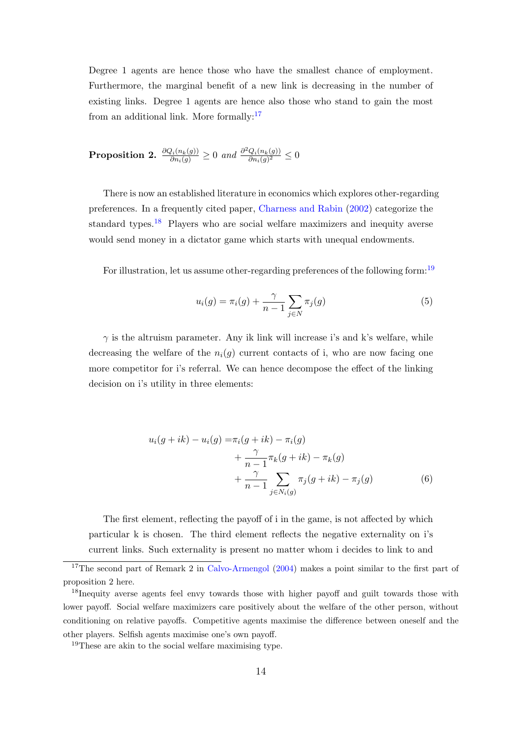Degree 1 agents are hence those who have the smallest chance of employment. Furthermore, the marginal benefit of a new link is decreasing in the number of existing links. Degree 1 agents are hence also those who stand to gain the most from an additional link. More formally:<sup>[17](#page-13-0)</sup>

**Proposition 2.** 
$$
\frac{\partial Q_i(n_k(g))}{\partial n_i(g)} \geq 0
$$
 and  $\frac{\partial^2 Q_i(n_k(g))}{\partial n_i(g)^2} \leq 0$ 

There is now an established literature in economics which explores other-regarding preferences. In a frequently cited paper, [Charness and Rabin](#page-28-2) [\(2002\)](#page-28-2) categorize the standard types.<sup>[18](#page-13-1)</sup> Players who are social welfare maximizers and inequity averse would send money in a dictator game which starts with unequal endowments.

For illustration, let us assume other-regarding preferences of the following form:<sup>[19](#page-13-2)</sup>

$$
u_i(g) = \pi_i(g) + \frac{\gamma}{n-1} \sum_{j \in N} \pi_j(g)
$$
\n
$$
(5)
$$

 $\gamma$  is the altruism parameter. Any ik link will increase i's and k's welfare, while decreasing the welfare of the  $n_i(g)$  current contacts of i, who are now facing one more competitor for i's referral. We can hence decompose the effect of the linking decision on i's utility in three elements:

<span id="page-13-3"></span>
$$
u_i(g+ik) - u_i(g) = \pi_i(g+ik) - \pi_i(g) + \frac{\gamma}{n-1} \pi_k(g+ik) - \pi_k(g) + \frac{\gamma}{n-1} \sum_{j \in N_i(g)} \pi_j(g+ik) - \pi_j(g)
$$
(6)

The first element, reflecting the payoff of i in the game, is not affected by which particular k is chosen. The third element reflects the negative externality on i's current links. Such externality is present no matter whom i decides to link to and

<span id="page-13-0"></span><sup>&</sup>lt;sup>17</sup>The second part of Remark 2 in [Calvo-Armengol](#page-27-1) [\(2004\)](#page-27-1) makes a point similar to the first part of proposition 2 here.

<span id="page-13-1"></span><sup>&</sup>lt;sup>18</sup>Inequity averse agents feel envy towards those with higher payoff and guilt towards those with lower payoff. Social welfare maximizers care positively about the welfare of the other person, without conditioning on relative payoffs. Competitive agents maximise the difference between oneself and the other players. Selfish agents maximise one's own payoff.

<span id="page-13-2"></span><sup>19</sup>These are akin to the social welfare maximising type.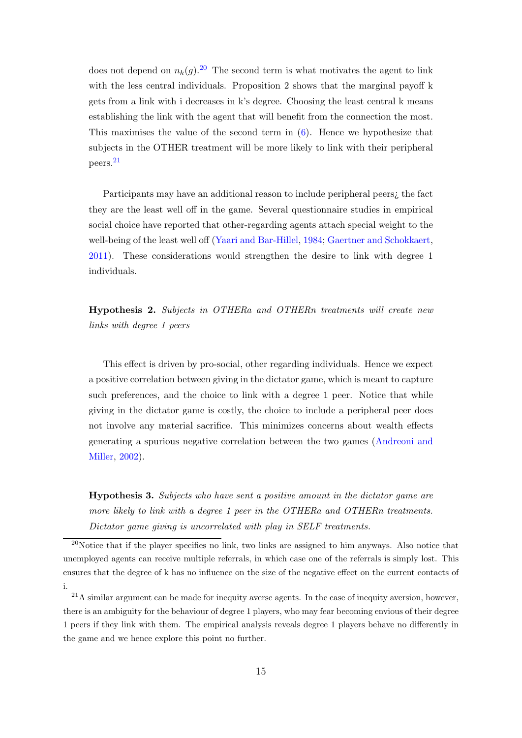does not depend on  $n_k(g)$ .<sup>[20](#page-14-0)</sup> The second term is what motivates the agent to link with the less central individuals. Proposition 2 shows that the marginal payoff k gets from a link with i decreases in k's degree. Choosing the least central k means establishing the link with the agent that will benefit from the connection the most. This maximises the value of the second term in [\(6\)](#page-13-3). Hence we hypothesize that subjects in the OTHER treatment will be more likely to link with their peripheral peers.[21](#page-14-1)

Participants may have an additional reason to include peripheral peers¿ the fact they are the least well off in the game. Several questionnaire studies in empirical social choice have reported that other-regarding agents attach special weight to the well-being of the least well off [\(Yaari and Bar-Hillel,](#page-31-4) [1984;](#page-31-4) [Gaertner and Schokkaert,](#page-28-10) [2011\)](#page-28-10). These considerations would strengthen the desire to link with degree 1 individuals.

<span id="page-14-2"></span>Hypothesis 2. Subjects in OTHERa and OTHERn treatments will create new links with degree 1 peers

This effect is driven by pro-social, other regarding individuals. Hence we expect a positive correlation between giving in the dictator game, which is meant to capture such preferences, and the choice to link with a degree 1 peer. Notice that while giving in the dictator game is costly, the choice to include a peripheral peer does not involve any material sacrifice. This minimizes concerns about wealth effects generating a spurious negative correlation between the two games [\(Andreoni and](#page-27-11) [Miller,](#page-27-11) [2002\)](#page-27-11).

<span id="page-14-3"></span>Hypothesis 3. Subjects who have sent a positive amount in the dictator game are more likely to link with a degree 1 peer in the OTHERa and OTHERn treatments. Dictator game giving is uncorrelated with play in SELF treatments.

<span id="page-14-0"></span><sup>20</sup>Notice that if the player specifies no link, two links are assigned to him anyways. Also notice that unemployed agents can receive multiple referrals, in which case one of the referrals is simply lost. This ensures that the degree of k has no influence on the size of the negative effect on the current contacts of i.

<span id="page-14-1"></span> $21A$  similar argument can be made for inequity averse agents. In the case of inequity aversion, however, there is an ambiguity for the behaviour of degree 1 players, who may fear becoming envious of their degree 1 peers if they link with them. The empirical analysis reveals degree 1 players behave no differently in the game and we hence explore this point no further.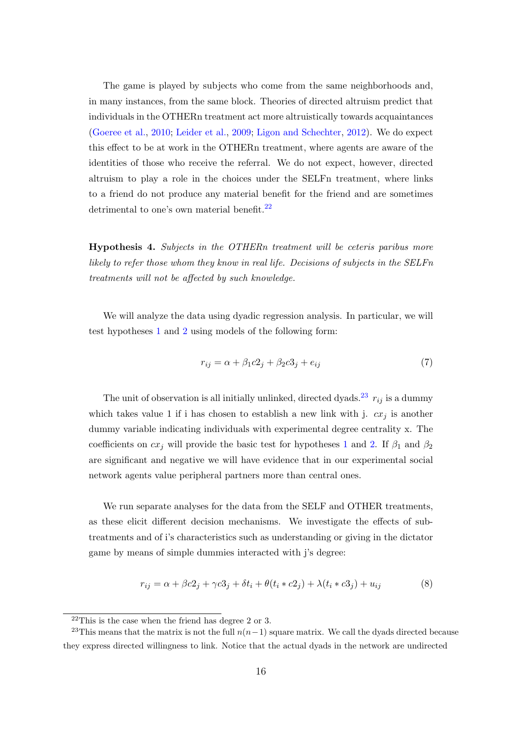The game is played by subjects who come from the same neighborhoods and, in many instances, from the same block. Theories of directed altruism predict that individuals in the OTHERn treatment act more altruistically towards acquaintances [\(Goeree et al.,](#page-29-10) [2010;](#page-29-10) [Leider et al.,](#page-29-11) [2009;](#page-29-11) [Ligon and Schechter,](#page-30-11) [2012\)](#page-30-11). We do expect this effect to be at work in the OTHERn treatment, where agents are aware of the identities of those who receive the referral. We do not expect, however, directed altruism to play a role in the choices under the SELFn treatment, where links to a friend do not produce any material benefit for the friend and are sometimes detrimental to one's own material benefit. $^{22}$  $^{22}$  $^{22}$ 

Hypothesis 4. Subjects in the OTHERn treatment will be ceteris paribus more likely to refer those whom they know in real life. Decisions of subjects in the SELFn treatments will not be affected by such knowledge.

We will analyze the data using dyadic regression analysis. In particular, we will test hypotheses [1](#page-12-4) and [2](#page-14-2) using models of the following form:

<span id="page-15-2"></span>
$$
r_{ij} = \alpha + \beta_1 c 2_j + \beta_2 c 3_j + e_{ij}
$$
\n<sup>(7)</sup>

The unit of observation is all initially unlinked, directed dyads.<sup>[23](#page-15-1)</sup>  $r_{ij}$  is a dummy which takes value 1 if i has chosen to establish a new link with j.  $cx_j$  is another dummy variable indicating individuals with experimental degree centrality x. The coefficients on  $cx_j$  will provide the basic test for hypotheses [1](#page-12-4) and [2.](#page-14-2) If  $\beta_1$  and  $\beta_2$ are significant and negative we will have evidence that in our experimental social network agents value peripheral partners more than central ones.

We run separate analyses for the data from the SELF and OTHER treatments, as these elicit different decision mechanisms. We investigate the effects of subtreatments and of i's characteristics such as understanding or giving in the dictator game by means of simple dummies interacted with j's degree:

<span id="page-15-3"></span>
$$
r_{ij} = \alpha + \beta c_2 + \gamma c_3 + \delta t_i + \theta (t_i * c_2) + \lambda (t_i * c_3) + u_{ij}
$$
\n
$$
(8)
$$

<span id="page-15-1"></span><span id="page-15-0"></span> $22$ This is the case when the friend has degree 2 or 3.

<sup>&</sup>lt;sup>23</sup>This means that the matrix is not the full  $n(n-1)$  square matrix. We call the dyads directed because they express directed willingness to link. Notice that the actual dyads in the network are undirected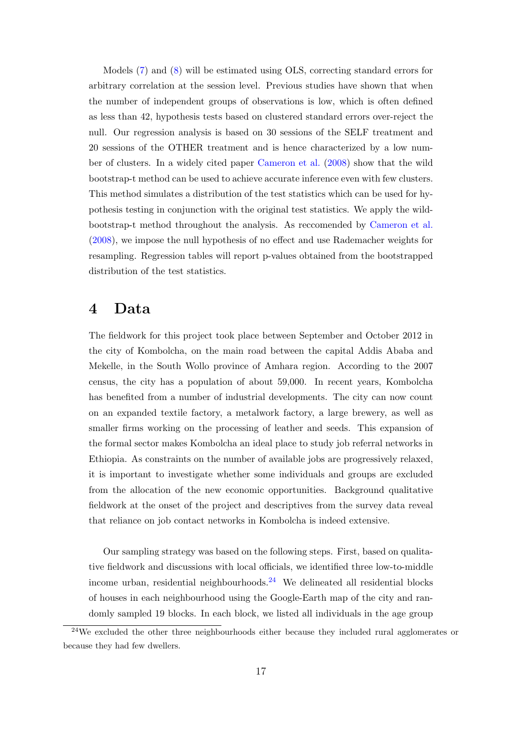Models [\(7\)](#page-15-2) and [\(8\)](#page-15-3) will be estimated using OLS, correcting standard errors for arbitrary correlation at the session level. Previous studies have shown that when the number of independent groups of observations is low, which is often defined as less than 42, hypothesis tests based on clustered standard errors over-reject the null. Our regression analysis is based on 30 sessions of the SELF treatment and 20 sessions of the OTHER treatment and is hence characterized by a low number of clusters. In a widely cited paper [Cameron et al.](#page-28-11) [\(2008\)](#page-28-11) show that the wild bootstrap-t method can be used to achieve accurate inference even with few clusters. This method simulates a distribution of the test statistics which can be used for hypothesis testing in conjunction with the original test statistics. We apply the wildbootstrap-t method throughout the analysis. As reccomended by [Cameron et al.](#page-28-11) [\(2008\)](#page-28-11), we impose the null hypothesis of no effect and use Rademacher weights for resampling. Regression tables will report p-values obtained from the bootstrapped distribution of the test statistics.

### 4 Data

The fieldwork for this project took place between September and October 2012 in the city of Kombolcha, on the main road between the capital Addis Ababa and Mekelle, in the South Wollo province of Amhara region. According to the 2007 census, the city has a population of about 59,000. In recent years, Kombolcha has benefited from a number of industrial developments. The city can now count on an expanded textile factory, a metalwork factory, a large brewery, as well as smaller firms working on the processing of leather and seeds. This expansion of the formal sector makes Kombolcha an ideal place to study job referral networks in Ethiopia. As constraints on the number of available jobs are progressively relaxed, it is important to investigate whether some individuals and groups are excluded from the allocation of the new economic opportunities. Background qualitative fieldwork at the onset of the project and descriptives from the survey data reveal that reliance on job contact networks in Kombolcha is indeed extensive.

Our sampling strategy was based on the following steps. First, based on qualitative fieldwork and discussions with local officials, we identified three low-to-middle income urban, residential neighbourhoods.<sup>[24](#page-16-0)</sup> We delineated all residential blocks of houses in each neighbourhood using the Google-Earth map of the city and randomly sampled 19 blocks. In each block, we listed all individuals in the age group

<span id="page-16-0"></span> $^{24}$ We excluded the other three neighbourhoods either because they included rural agglomerates or because they had few dwellers.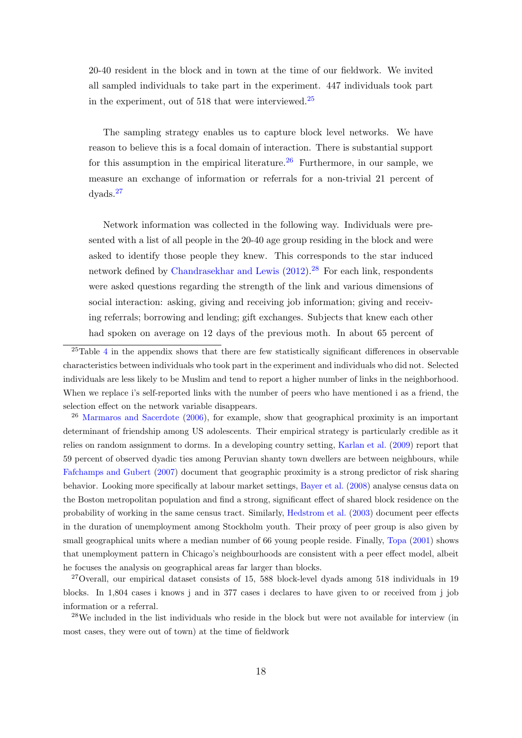20-40 resident in the block and in town at the time of our fieldwork. We invited all sampled individuals to take part in the experiment. 447 individuals took part in the experiment, out of  $518$  that were interviewed.<sup>[25](#page-17-0)</sup>

The sampling strategy enables us to capture block level networks. We have reason to believe this is a focal domain of interaction. There is substantial support for this assumption in the empirical literature.  $26$  Furthermore, in our sample, we measure an exchange of information or referrals for a non-trivial 21 percent of dyads.[27](#page-17-2)

Network information was collected in the following way. Individuals were presented with a list of all people in the 20-40 age group residing in the block and were asked to identify those people they knew. This corresponds to the star induced network defined by [Chandrasekhar and Lewis](#page-28-12)  $(2012).^{28}$  $(2012).^{28}$  $(2012).^{28}$  $(2012).^{28}$  For each link, respondents were asked questions regarding the strength of the link and various dimensions of social interaction: asking, giving and receiving job information; giving and receiving referrals; borrowing and lending; gift exchanges. Subjects that knew each other had spoken on average on 12 days of the previous moth. In about 65 percent of

<span id="page-17-1"></span><sup>26</sup> [Marmaros and Sacerdote](#page-30-12) [\(2006\)](#page-30-12), for example, show that geographical proximity is an important determinant of friendship among US adolescents. Their empirical strategy is particularly credible as it relies on random assignment to dorms. In a developing country setting, [Karlan et al.](#page-29-4) [\(2009\)](#page-29-4) report that 59 percent of observed dyadic ties among Peruvian shanty town dwellers are between neighbours, while [Fafchamps and Gubert](#page-28-13) [\(2007\)](#page-28-13) document that geographic proximity is a strong predictor of risk sharing behavior. Looking more specifically at labour market settings, [Bayer et al.](#page-27-6) [\(2008\)](#page-27-6) analyse census data on the Boston metropolitan population and find a strong, significant effect of shared block residence on the probability of working in the same census tract. Similarly, [Hedstrom et al.](#page-29-12) [\(2003\)](#page-29-12) document peer effects in the duration of unemployment among Stockholm youth. Their proxy of peer group is also given by small geographical units where a median number of 66 young people reside. Finally, [Topa](#page-30-5) [\(2001\)](#page-30-5) shows that unemployment pattern in Chicago's neighbourhoods are consistent with a peer effect model, albeit he focuses the analysis on geographical areas far larger than blocks.

<span id="page-17-2"></span><sup>27</sup>Overall, our empirical dataset consists of 15, 588 block-level dyads among 518 individuals in 19 blocks. In 1,804 cases i knows j and in 377 cases i declares to have given to or received from j job information or a referral.

<span id="page-17-3"></span><sup>28</sup>We included in the list individuals who reside in the block but were not available for interview (in most cases, they were out of town) at the time of fieldwork

<span id="page-17-0"></span><sup>&</sup>lt;sup>25</sup>Table [4](#page-38-0) in the appendix shows that there are few statistically significant differences in observable characteristics between individuals who took part in the experiment and individuals who did not. Selected individuals are less likely to be Muslim and tend to report a higher number of links in the neighborhood. When we replace i's self-reported links with the number of peers who have mentioned i as a friend, the selection effect on the network variable disappears.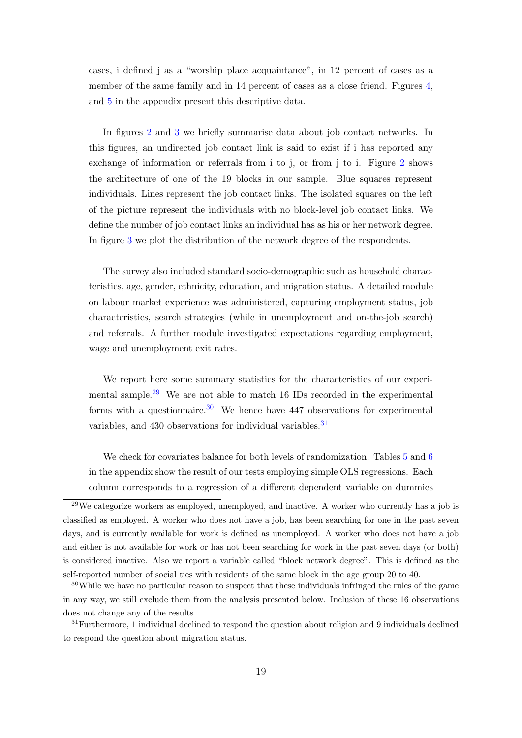cases, i defined j as a "worship place acquaintance", in 12 percent of cases as a member of the same family and in 14 percent of cases as a close friend. Figures [4,](#page-35-0) and [5](#page-35-1) in the appendix present this descriptive data.

In figures [2](#page-34-0) and [3](#page-34-1) we briefly summarise data about job contact networks. In this figures, an undirected job contact link is said to exist if i has reported any exchange of information or referrals from i to j, or from j to i. Figure [2](#page-34-0) shows the architecture of one of the 19 blocks in our sample. Blue squares represent individuals. Lines represent the job contact links. The isolated squares on the left of the picture represent the individuals with no block-level job contact links. We define the number of job contact links an individual has as his or her network degree. In figure [3](#page-34-1) we plot the distribution of the network degree of the respondents.

The survey also included standard socio-demographic such as household characteristics, age, gender, ethnicity, education, and migration status. A detailed module on labour market experience was administered, capturing employment status, job characteristics, search strategies (while in unemployment and on-the-job search) and referrals. A further module investigated expectations regarding employment, wage and unemployment exit rates.

We report here some summary statistics for the characteristics of our experi-mental sample.<sup>[29](#page-18-0)</sup> We are not able to match 16 IDs recorded in the experimental forms with a questionnaire.<sup>[30](#page-18-1)</sup> We hence have 447 observations for experimental variables, and  $430$  observations for individual variables.<sup>[31](#page-18-2)</sup>

We check for covariates balance for both levels of randomization. Tables [5](#page-38-1) and [6](#page-38-2) in the appendix show the result of our tests employing simple OLS regressions. Each column corresponds to a regression of a different dependent variable on dummies

<span id="page-18-0"></span><sup>29</sup>We categorize workers as employed, unemployed, and inactive. A worker who currently has a job is classified as employed. A worker who does not have a job, has been searching for one in the past seven days, and is currently available for work is defined as unemployed. A worker who does not have a job and either is not available for work or has not been searching for work in the past seven days (or both) is considered inactive. Also we report a variable called "block network degree". This is defined as the self-reported number of social ties with residents of the same block in the age group 20 to 40.

<span id="page-18-1"></span><sup>30</sup>While we have no particular reason to suspect that these individuals infringed the rules of the game in any way, we still exclude them from the analysis presented below. Inclusion of these 16 observations does not change any of the results.

<span id="page-18-2"></span><sup>31</sup>Furthermore, 1 individual declined to respond the question about religion and 9 individuals declined to respond the question about migration status.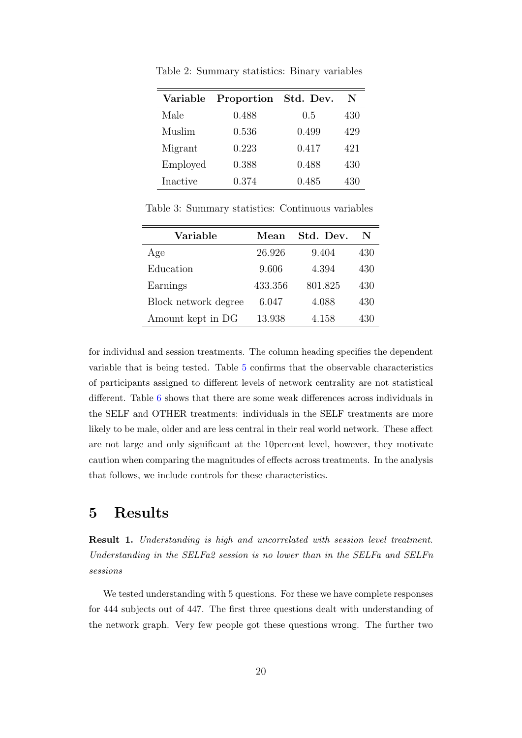| Variable | Proportion | Std. Dev. | N   |
|----------|------------|-----------|-----|
| Male     | 0.488      | 0.5       | 430 |
| Muslim   | 0.536      | 0.499     | 429 |
| Migrant  | 0.223      | 0.417     | 421 |
| Employed | 0.388      | 0.488     | 430 |
| Inactive | 0.374      | 0.485     | 430 |

Table 2: Summary statistics: Binary variables

Table 3: Summary statistics: Continuous variables

| Variable             | Mean    | Std. Dev. | N   |
|----------------------|---------|-----------|-----|
| Age                  | 26.926  | 9.404     | 430 |
| Education            | 9.606   | 4.394     | 430 |
| Earnings             | 433.356 | 801.825   | 430 |
| Block network degree | 6.047   | 4.088     | 430 |
| Amount kept in DG    | 13.938  | 4.158     | 430 |

for individual and session treatments. The column heading specifies the dependent variable that is being tested. Table [5](#page-38-1) confirms that the observable characteristics of participants assigned to different levels of network centrality are not statistical different. Table [6](#page-38-2) shows that there are some weak differences across individuals in the SELF and OTHER treatments: individuals in the SELF treatments are more likely to be male, older and are less central in their real world network. These affect are not large and only significant at the 10percent level, however, they motivate caution when comparing the magnitudes of effects across treatments. In the analysis that follows, we include controls for these characteristics.

## 5 Results

Result 1. Understanding is high and uncorrelated with session level treatment. Understanding in the SELFa2 session is no lower than in the SELFa and SELFn sessions

We tested understanding with 5 questions. For these we have complete responses for 444 subjects out of 447. The first three questions dealt with understanding of the network graph. Very few people got these questions wrong. The further two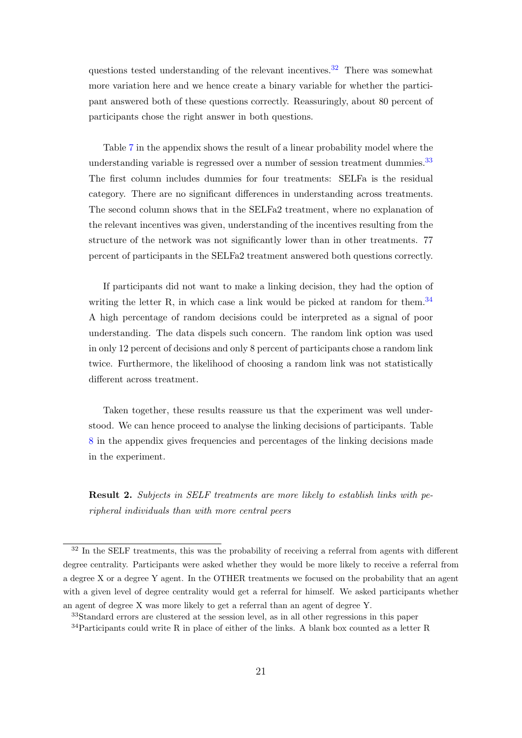questions tested understanding of the relevant incentives.<sup>[32](#page-20-0)</sup> There was somewhat more variation here and we hence create a binary variable for whether the participant answered both of these questions correctly. Reassuringly, about 80 percent of participants chose the right answer in both questions.

Table [7](#page-39-0) in the appendix shows the result of a linear probability model where the understanding variable is regressed over a number of session treatment dummies.<sup>[33](#page-20-1)</sup> The first column includes dummies for four treatments: SELFa is the residual category. There are no significant differences in understanding across treatments. The second column shows that in the SELFa2 treatment, where no explanation of the relevant incentives was given, understanding of the incentives resulting from the structure of the network was not significantly lower than in other treatments. 77 percent of participants in the SELFa2 treatment answered both questions correctly.

If participants did not want to make a linking decision, they had the option of writing the letter R, in which case a link would be picked at random for them.<sup>[34](#page-20-2)</sup> A high percentage of random decisions could be interpreted as a signal of poor understanding. The data dispels such concern. The random link option was used in only 12 percent of decisions and only 8 percent of participants chose a random link twice. Furthermore, the likelihood of choosing a random link was not statistically different across treatment.

Taken together, these results reassure us that the experiment was well understood. We can hence proceed to analyse the linking decisions of participants. Table [8](#page-39-1) in the appendix gives frequencies and percentages of the linking decisions made in the experiment.

Result 2. Subjects in SELF treatments are more likely to establish links with peripheral individuals than with more central peers

<span id="page-20-0"></span><sup>&</sup>lt;sup>32</sup> In the SELF treatments, this was the probability of receiving a referral from agents with different degree centrality. Participants were asked whether they would be more likely to receive a referral from a degree X or a degree Y agent. In the OTHER treatments we focused on the probability that an agent with a given level of degree centrality would get a referral for himself. We asked participants whether an agent of degree X was more likely to get a referral than an agent of degree Y.

<span id="page-20-2"></span><span id="page-20-1"></span><sup>33</sup>Standard errors are clustered at the session level, as in all other regressions in this paper

 $34$ Participants could write R in place of either of the links. A blank box counted as a letter R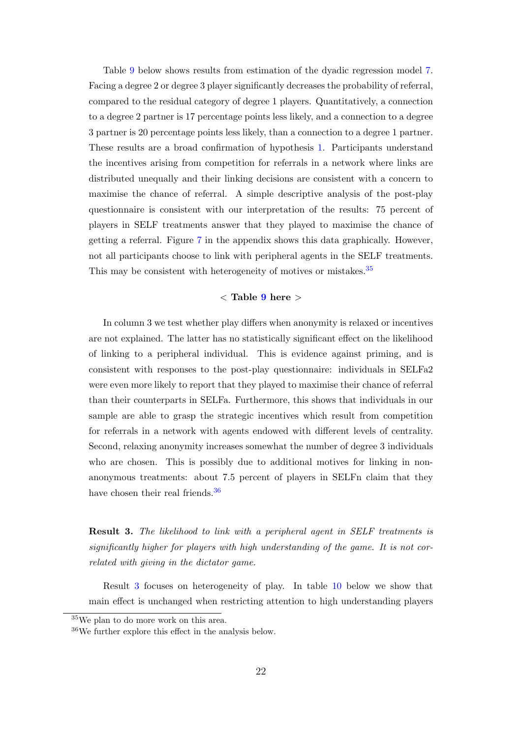Table [9](#page-40-0) below shows results from estimation of the dyadic regression model [7.](#page-15-2) Facing a degree 2 or degree 3 player significantly decreases the probability of referral, compared to the residual category of degree 1 players. Quantitatively, a connection to a degree 2 partner is 17 percentage points less likely, and a connection to a degree 3 partner is 20 percentage points less likely, than a connection to a degree 1 partner. These results are a broad confirmation of hypothesis [1.](#page-12-4) Participants understand the incentives arising from competition for referrals in a network where links are distributed unequally and their linking decisions are consistent with a concern to maximise the chance of referral. A simple descriptive analysis of the post-play questionnaire is consistent with our interpretation of the results: 75 percent of players in SELF treatments answer that they played to maximise the chance of getting a referral. Figure [7](#page-36-0) in the appendix shows this data graphically. However, not all participants choose to link with peripheral agents in the SELF treatments. This may be consistent with heterogeneity of motives or mistakes.<sup>[35](#page-21-0)</sup>

### $\langle$  Table [9](#page-40-0) here  $\rangle$

In column 3 we test whether play differs when anonymity is relaxed or incentives are not explained. The latter has no statistically significant effect on the likelihood of linking to a peripheral individual. This is evidence against priming, and is consistent with responses to the post-play questionnaire: individuals in SELFa2 were even more likely to report that they played to maximise their chance of referral than their counterparts in SELFa. Furthermore, this shows that individuals in our sample are able to grasp the strategic incentives which result from competition for referrals in a network with agents endowed with different levels of centrality. Second, relaxing anonymity increases somewhat the number of degree 3 individuals who are chosen. This is possibly due to additional motives for linking in nonanonymous treatments: about 7.5 percent of players in SELFn claim that they have chosen their real friends.<sup>[36](#page-21-1)</sup>

<span id="page-21-2"></span>**Result 3.** The likelihood to link with a peripheral agent in SELF treatments is significantly higher for players with high understanding of the game. It is not correlated with giving in the dictator game.

Result [3](#page-21-2) focuses on heterogeneity of play. In table [10](#page-41-0) below we show that main effect is unchanged when restricting attention to high understanding players

<span id="page-21-1"></span><span id="page-21-0"></span><sup>35</sup>We plan to do more work on this area.

<sup>36</sup>We further explore this effect in the analysis below.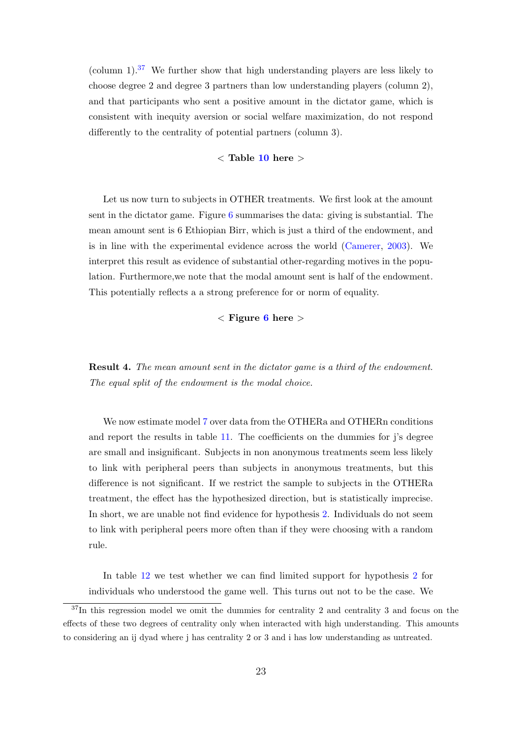(column 1).<sup>[37](#page-22-0)</sup> We further show that high understanding players are less likely to choose degree 2 and degree 3 partners than low understanding players (column 2), and that participants who sent a positive amount in the dictator game, which is consistent with inequity aversion or social welfare maximization, do not respond differently to the centrality of potential partners (column 3).

### $<$  Table [10](#page-41-0) here  $>$

Let us now turn to subjects in OTHER treatments. We first look at the amount sent in the dictator game. Figure [6](#page-36-1) summarises the data: giving is substantial. The mean amount sent is 6 Ethiopian Birr, which is just a third of the endowment, and is in line with the experimental evidence across the world [\(Camerer,](#page-28-9) [2003\)](#page-28-9). We interpret this result as evidence of substantial other-regarding motives in the population. Furthermore,we note that the modal amount sent is half of the endowment. This potentially reflects a a strong preference for or norm of equality.

 $\langle$  Figure [6](#page-36-1) here  $\rangle$ 

Result 4. The mean amount sent in the dictator game is a third of the endowment. The equal split of the endowment is the modal choice.

We now estimate model [7](#page-15-2) over data from the OTHERa and OTHERn conditions and report the results in table [11.](#page-42-0) The coefficients on the dummies for j's degree are small and insignificant. Subjects in non anonymous treatments seem less likely to link with peripheral peers than subjects in anonymous treatments, but this difference is not significant. If we restrict the sample to subjects in the OTHERa treatment, the effect has the hypothesized direction, but is statistically imprecise. In short, we are unable not find evidence for hypothesis [2.](#page-14-2) Individuals do not seem to link with peripheral peers more often than if they were choosing with a random rule.

In table [12](#page-42-1) we test whether we can find limited support for hypothesis [2](#page-14-2) for individuals who understood the game well. This turns out not to be the case. We

<span id="page-22-0"></span><sup>&</sup>lt;sup>37</sup>In this regression model we omit the dummies for centrality 2 and centrality 3 and focus on the effects of these two degrees of centrality only when interacted with high understanding. This amounts to considering an ij dyad where j has centrality 2 or 3 and i has low understanding as untreated.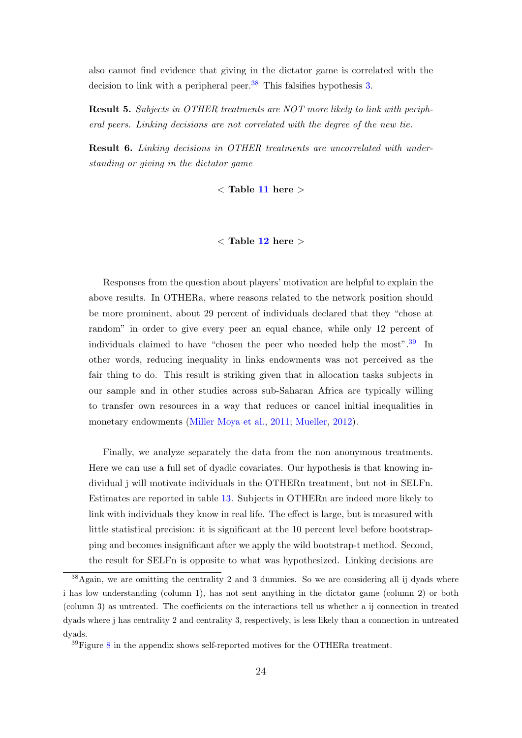also cannot find evidence that giving in the dictator game is correlated with the decision to link with a peripheral peer.<sup>[38](#page-23-0)</sup> This falsifies hypothesis [3.](#page-14-3)

Result 5. Subjects in OTHER treatments are NOT more likely to link with peripheral peers. Linking decisions are not correlated with the degree of the new tie.

Result 6. Linking decisions in OTHER treatments are uncorrelated with understanding or giving in the dictator game

 $<$  Table [11](#page-42-0) here  $>$ 

#### $<$  Table [12](#page-42-1) here  $>$

Responses from the question about players' motivation are helpful to explain the above results. In OTHERa, where reasons related to the network position should be more prominent, about 29 percent of individuals declared that they "chose at random" in order to give every peer an equal chance, while only 12 percent of individuals claimed to have "chosen the peer who needed help the most".<sup>[39](#page-23-1)</sup> In other words, reducing inequality in links endowments was not perceived as the fair thing to do. This result is striking given that in allocation tasks subjects in our sample and in other studies across sub-Saharan Africa are typically willing to transfer own resources in a way that reduces or cancel initial inequalities in monetary endowments [\(Miller Moya et al.,](#page-30-8) [2011;](#page-30-8) [Mueller,](#page-30-9) [2012\)](#page-30-9).

Finally, we analyze separately the data from the non anonymous treatments. Here we can use a full set of dyadic covariates. Our hypothesis is that knowing individual j will motivate individuals in the OTHERn treatment, but not in SELFn. Estimates are reported in table [13.](#page-43-0) Subjects in OTHERn are indeed more likely to link with individuals they know in real life. The effect is large, but is measured with little statistical precision: it is significant at the 10 percent level before bootstrapping and becomes insignificant after we apply the wild bootstrap-t method. Second, the result for SELFn is opposite to what was hypothesized. Linking decisions are

<span id="page-23-0"></span><sup>38</sup>Again, we are omitting the centrality 2 and 3 dummies. So we are considering all ij dyads where i has low understanding (column 1), has not sent anything in the dictator game (column 2) or both (column 3) as untreated. The coefficients on the interactions tell us whether a ij connection in treated dyads where j has centrality 2 and centrality 3, respectively, is less likely than a connection in untreated dyads.

<span id="page-23-1"></span><sup>39</sup>Figure [8](#page-37-0) in the appendix shows self-reported motives for the OTHERa treatment.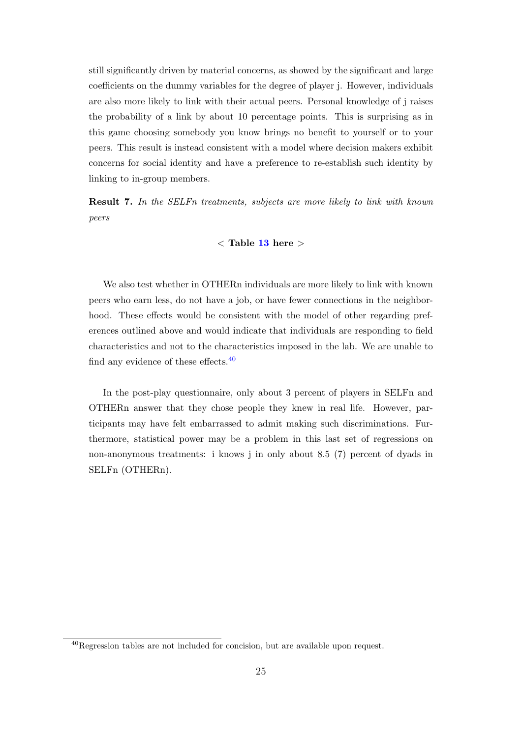still significantly driven by material concerns, as showed by the significant and large coefficients on the dummy variables for the degree of player j. However, individuals are also more likely to link with their actual peers. Personal knowledge of j raises the probability of a link by about 10 percentage points. This is surprising as in this game choosing somebody you know brings no benefit to yourself or to your peers. This result is instead consistent with a model where decision makers exhibit concerns for social identity and have a preference to re-establish such identity by linking to in-group members.

Result 7. In the SELFn treatments, subjects are more likely to link with known peers

### $<$  Table [13](#page-43-0) here  $>$

We also test whether in OTHERn individuals are more likely to link with known peers who earn less, do not have a job, or have fewer connections in the neighborhood. These effects would be consistent with the model of other regarding preferences outlined above and would indicate that individuals are responding to field characteristics and not to the characteristics imposed in the lab. We are unable to find any evidence of these effects.  $40$ 

In the post-play questionnaire, only about 3 percent of players in SELFn and OTHERn answer that they chose people they knew in real life. However, participants may have felt embarrassed to admit making such discriminations. Furthermore, statistical power may be a problem in this last set of regressions on non-anonymous treatments: i knows j in only about 8.5 (7) percent of dyads in SELFn (OTHERn).

<span id="page-24-0"></span><sup>40</sup>Regression tables are not included for concision, but are available upon request.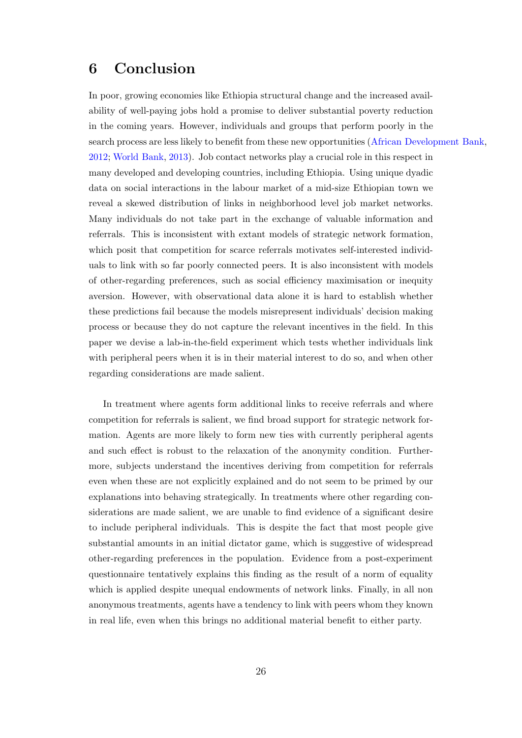## 6 Conclusion

In poor, growing economies like Ethiopia structural change and the increased availability of well-paying jobs hold a promise to deliver substantial poverty reduction in the coming years. However, individuals and groups that perform poorly in the search process are less likely to benefit from these new opportunities [\(African Development Bank,](#page-30-1) [2012;](#page-30-1) [World Bank,](#page-30-2) [2013\)](#page-30-2). Job contact networks play a crucial role in this respect in many developed and developing countries, including Ethiopia. Using unique dyadic data on social interactions in the labour market of a mid-size Ethiopian town we reveal a skewed distribution of links in neighborhood level job market networks. Many individuals do not take part in the exchange of valuable information and referrals. This is inconsistent with extant models of strategic network formation, which posit that competition for scarce referrals motivates self-interested individuals to link with so far poorly connected peers. It is also inconsistent with models of other-regarding preferences, such as social efficiency maximisation or inequity aversion. However, with observational data alone it is hard to establish whether these predictions fail because the models misrepresent individuals' decision making process or because they do not capture the relevant incentives in the field. In this paper we devise a lab-in-the-field experiment which tests whether individuals link with peripheral peers when it is in their material interest to do so, and when other regarding considerations are made salient.

In treatment where agents form additional links to receive referrals and where competition for referrals is salient, we find broad support for strategic network formation. Agents are more likely to form new ties with currently peripheral agents and such effect is robust to the relaxation of the anonymity condition. Furthermore, subjects understand the incentives deriving from competition for referrals even when these are not explicitly explained and do not seem to be primed by our explanations into behaving strategically. In treatments where other regarding considerations are made salient, we are unable to find evidence of a significant desire to include peripheral individuals. This is despite the fact that most people give substantial amounts in an initial dictator game, which is suggestive of widespread other-regarding preferences in the population. Evidence from a post-experiment questionnaire tentatively explains this finding as the result of a norm of equality which is applied despite unequal endowments of network links. Finally, in all non anonymous treatments, agents have a tendency to link with peers whom they known in real life, even when this brings no additional material benefit to either party.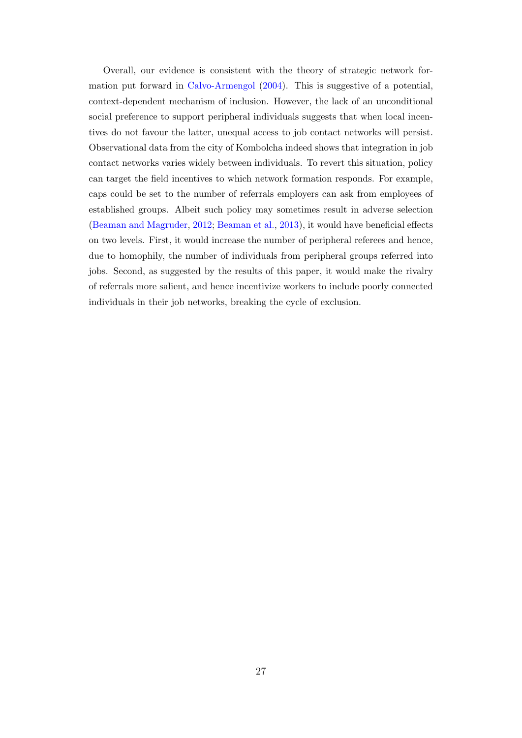Overall, our evidence is consistent with the theory of strategic network formation put forward in [Calvo-Armengol](#page-27-1) [\(2004\)](#page-27-1). This is suggestive of a potential, context-dependent mechanism of inclusion. However, the lack of an unconditional social preference to support peripheral individuals suggests that when local incentives do not favour the latter, unequal access to job contact networks will persist. Observational data from the city of Kombolcha indeed shows that integration in job contact networks varies widely between individuals. To revert this situation, policy can target the field incentives to which network formation responds. For example, caps could be set to the number of referrals employers can ask from employees of established groups. Albeit such policy may sometimes result in adverse selection [\(Beaman and Magruder,](#page-27-0) [2012;](#page-27-0) [Beaman et al.,](#page-27-3) [2013\)](#page-27-3), it would have beneficial effects on two levels. First, it would increase the number of peripheral referees and hence, due to homophily, the number of individuals from peripheral groups referred into jobs. Second, as suggested by the results of this paper, it would make the rivalry of referrals more salient, and hence incentivize workers to include poorly connected individuals in their job networks, breaking the cycle of exclusion.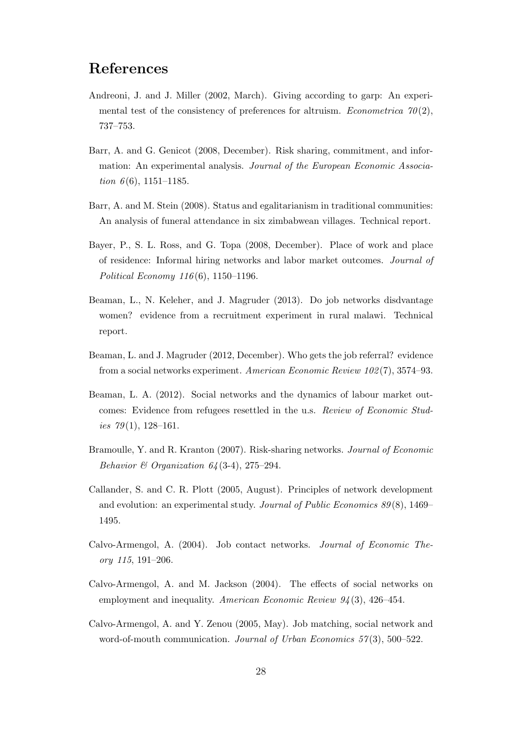## References

- <span id="page-27-11"></span>Andreoni, J. and J. Miller (2002, March). Giving according to garp: An experimental test of the consistency of preferences for altruism. *Econometrica*  $\mathcal{70}(2)$ , 737–753.
- <span id="page-27-10"></span>Barr, A. and G. Genicot (2008, December). Risk sharing, commitment, and information: An experimental analysis. Journal of the European Economic Association  $6(6)$ , 1151–1185.
- <span id="page-27-9"></span>Barr, A. and M. Stein (2008). Status and egalitarianism in traditional communities: An analysis of funeral attendance in six zimbabwean villages. Technical report.
- <span id="page-27-6"></span>Bayer, P., S. L. Ross, and G. Topa (2008, December). Place of work and place of residence: Informal hiring networks and labor market outcomes. Journal of Political Economy 116 (6), 1150–1196.
- <span id="page-27-3"></span>Beaman, L., N. Keleher, and J. Magruder (2013). Do job networks disdvantage women? evidence from a recruitment experiment in rural malawi. Technical report.
- <span id="page-27-0"></span>Beaman, L. and J. Magruder (2012, December). Who gets the job referral? evidence from a social networks experiment. American Economic Review 102 (7), 3574–93.
- <span id="page-27-7"></span>Beaman, L. A. (2012). Social networks and the dynamics of labour market outcomes: Evidence from refugees resettled in the u.s. Review of Economic Studies  $79(1)$ , 128-161.
- <span id="page-27-5"></span>Bramoulle, Y. and R. Kranton (2007). Risk-sharing networks. Journal of Economic Behavior  $\mathcal{B}$  Organization 64(3-4), 275–294.
- <span id="page-27-8"></span>Callander, S. and C. R. Plott (2005, August). Principles of network development and evolution: an experimental study. Journal of Public Economics  $89(8)$ , 1469– 1495.
- <span id="page-27-1"></span>Calvo-Armengol, A. (2004). Job contact networks. Journal of Economic Theory 115, 191–206.
- <span id="page-27-2"></span>Calvo-Armengol, A. and M. Jackson (2004). The effects of social networks on employment and inequality. American Economic Review  $94(3)$ , 426–454.
- <span id="page-27-4"></span>Calvo-Armengol, A. and Y. Zenou (2005, May). Job matching, social network and word-of-mouth communication. *Journal of Urban Economics* 57(3), 500–522.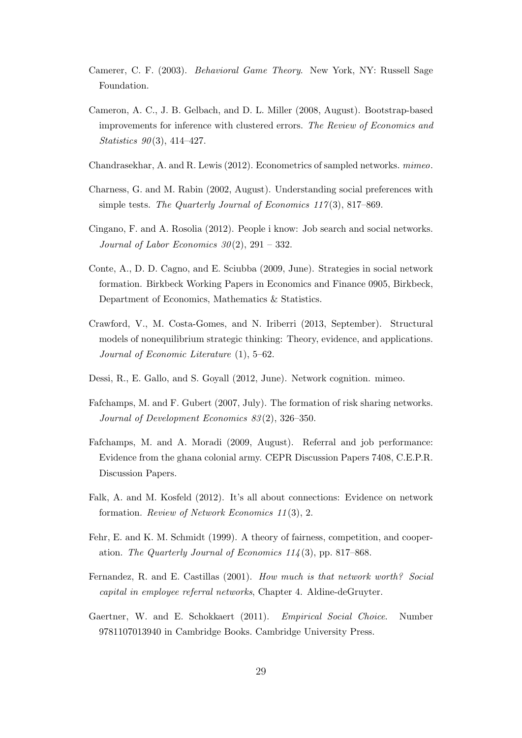- <span id="page-28-9"></span>Camerer, C. F. (2003). Behavioral Game Theory. New York, NY: Russell Sage Foundation.
- <span id="page-28-11"></span>Cameron, A. C., J. B. Gelbach, and D. L. Miller (2008, August). Bootstrap-based improvements for inference with clustered errors. The Review of Economics and Statistics  $90(3)$ , 414-427.
- <span id="page-28-12"></span>Chandrasekhar, A. and R. Lewis (2012). Econometrics of sampled networks. mimeo.
- <span id="page-28-2"></span>Charness, G. and M. Rabin (2002, August). Understanding social preferences with simple tests. The Quarterly Journal of Economics  $117(3)$ , 817–869.
- <span id="page-28-3"></span>Cingano, F. and A. Rosolia (2012). People i know: Job search and social networks. Journal of Labor Economics  $30(2)$ ,  $291 - 332$ .
- <span id="page-28-5"></span>Conte, A., D. D. Cagno, and E. Sciubba (2009, June). Strategies in social network formation. Birkbeck Working Papers in Economics and Finance 0905, Birkbeck, Department of Economics, Mathematics & Statistics.
- <span id="page-28-7"></span>Crawford, V., M. Costa-Gomes, and N. Iriberri (2013, September). Structural models of nonequilibrium strategic thinking: Theory, evidence, and applications. Journal of Economic Literature (1), 5–62.
- <span id="page-28-8"></span>Dessi, R., E. Gallo, and S. Goyall (2012, June). Network cognition. mimeo.
- <span id="page-28-13"></span>Fafchamps, M. and F. Gubert (2007, July). The formation of risk sharing networks. Journal of Development Economics 83 (2), 326–350.
- <span id="page-28-0"></span>Fafchamps, M. and A. Moradi (2009, August). Referral and job performance: Evidence from the ghana colonial army. CEPR Discussion Papers 7408, C.E.P.R. Discussion Papers.
- <span id="page-28-6"></span>Falk, A. and M. Kosfeld (2012). It's all about connections: Evidence on network formation. Review of Network Economics 11 (3), 2.
- <span id="page-28-1"></span>Fehr, E. and K. M. Schmidt (1999). A theory of fairness, competition, and cooperation. The Quarterly Journal of Economics  $114(3)$ , pp. 817–868.
- <span id="page-28-4"></span>Fernandez, R. and E. Castillas (2001). How much is that network worth? Social capital in employee referral networks, Chapter 4. Aldine-deGruyter.
- <span id="page-28-10"></span>Gaertner, W. and E. Schokkaert (2011). *Empirical Social Choice*. Number 9781107013940 in Cambridge Books. Cambridge University Press.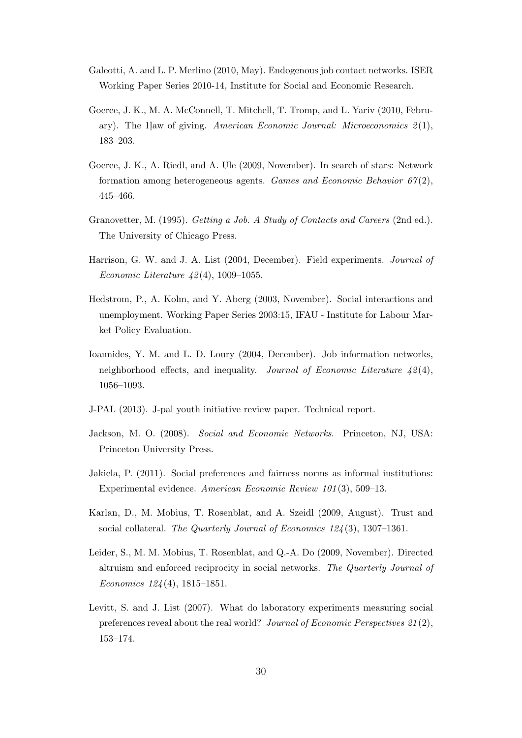- <span id="page-29-8"></span>Galeotti, A. and L. P. Merlino (2010, May). Endogenous job contact networks. ISER Working Paper Series 2010-14, Institute for Social and Economic Research.
- <span id="page-29-10"></span>Goeree, J. K., M. A. McConnell, T. Mitchell, T. Tromp, and L. Yariv (2010, February). The 1 law of giving. American Economic Journal: Microeconomics  $\mathcal{Z}(1)$ , 183–203.
- <span id="page-29-6"></span>Goeree, J. K., A. Riedl, and A. Ule (2009, November). In search of stars: Network formation among heterogeneous agents. Games and Economic Behavior  $67(2)$ , 445–466.
- <span id="page-29-0"></span>Granovetter, M. (1995). Getting a Job. A Study of Contacts and Careers (2nd ed.). The University of Chicago Press.
- <span id="page-29-5"></span>Harrison, G. W. and J. A. List (2004, December). Field experiments. Journal of Economic Literature  $\angle 2(4)$ , 1009–1055.
- <span id="page-29-12"></span>Hedstrom, P., A. Kolm, and Y. Aberg (2003, November). Social interactions and unemployment. Working Paper Series 2003:15, IFAU - Institute for Labour Market Policy Evaluation.
- <span id="page-29-1"></span>Ioannides, Y. M. and L. D. Loury (2004, December). Job information networks, neighborhood effects, and inequality. Journal of Economic Literature  $42(4)$ , 1056–1093.
- <span id="page-29-2"></span>J-PAL (2013). J-pal youth initiative review paper. Technical report.
- <span id="page-29-3"></span>Jackson, M. O. (2008). Social and Economic Networks. Princeton, NJ, USA: Princeton University Press.
- <span id="page-29-7"></span>Jakiela, P. (2011). Social preferences and fairness norms as informal institutions: Experimental evidence. American Economic Review 101 (3), 509–13.
- <span id="page-29-4"></span>Karlan, D., M. Mobius, T. Rosenblat, and A. Szeidl (2009, August). Trust and social collateral. The Quarterly Journal of Economics 124 (3), 1307–1361.
- <span id="page-29-11"></span>Leider, S., M. M. Mobius, T. Rosenblat, and Q.-A. Do (2009, November). Directed altruism and enforced reciprocity in social networks. The Quarterly Journal of Economics 124 (4), 1815–1851.
- <span id="page-29-9"></span>Levitt, S. and J. List (2007). What do laboratory experiments measuring social preferences reveal about the real world? Journal of Economic Perspectives 21 (2), 153–174.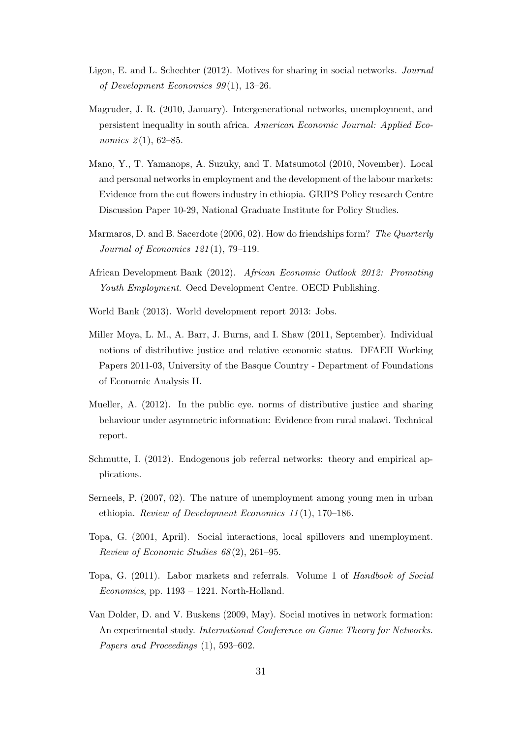- <span id="page-30-11"></span>Ligon, E. and L. Schechter (2012). Motives for sharing in social networks. Journal of Development Economics 99 (1), 13–26.
- <span id="page-30-6"></span>Magruder, J. R. (2010, January). Intergenerational networks, unemployment, and persistent inequality in south africa. American Economic Journal: Applied Economics  $2(1)$ , 62–85.
- <span id="page-30-3"></span>Mano, Y., T. Yamanops, A. Suzuky, and T. Matsumotol (2010, November). Local and personal networks in employment and the development of the labour markets: Evidence from the cut flowers industry in ethiopia. GRIPS Policy research Centre Discussion Paper 10-29, National Graduate Institute for Policy Studies.
- <span id="page-30-12"></span>Marmaros, D. and B. Sacerdote (2006, 02). How do friendships form? The Quarterly Journal of Economics 121 (1), 79–119.
- <span id="page-30-1"></span>African Development Bank (2012). African Economic Outlook 2012: Promoting Youth Employment. Oecd Development Centre. OECD Publishing.
- <span id="page-30-2"></span>World Bank (2013). World development report 2013: Jobs.
- <span id="page-30-8"></span>Miller Moya, L. M., A. Barr, J. Burns, and I. Shaw (2011, September). Individual notions of distributive justice and relative economic status. DFAEII Working Papers 2011-03, University of the Basque Country - Department of Foundations of Economic Analysis II.
- <span id="page-30-9"></span>Mueller, A. (2012). In the public eye. norms of distributive justice and sharing behaviour under asymmetric information: Evidence from rural malawi. Technical report.
- <span id="page-30-10"></span>Schmutte, I. (2012). Endogenous job referral networks: theory and empirical applications.
- <span id="page-30-4"></span>Serneels, P. (2007, 02). The nature of unemployment among young men in urban ethiopia. Review of Development Economics 11 (1), 170–186.
- <span id="page-30-5"></span>Topa, G. (2001, April). Social interactions, local spillovers and unemployment. Review of Economic Studies 68 (2), 261–95.
- <span id="page-30-0"></span>Topa, G. (2011). Labor markets and referrals. Volume 1 of Handbook of Social Economics, pp. 1193 – 1221. North-Holland.
- <span id="page-30-7"></span>Van Dolder, D. and V. Buskens (2009, May). Social motives in network formation: An experimental study. International Conference on Game Theory for Networks. Papers and Proceedings (1), 593–602.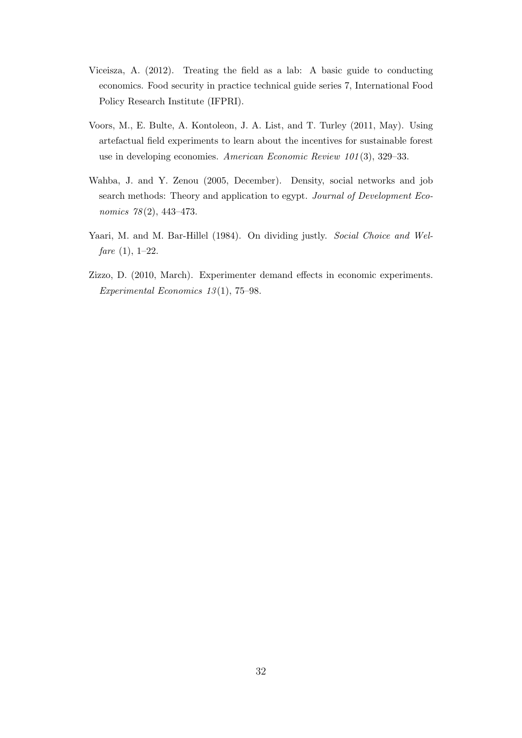- <span id="page-31-3"></span>Viceisza, A. (2012). Treating the field as a lab: A basic guide to conducting economics. Food security in practice technical guide series 7, International Food Policy Research Institute (IFPRI).
- <span id="page-31-0"></span>Voors, M., E. Bulte, A. Kontoleon, J. A. List, and T. Turley (2011, May). Using artefactual field experiments to learn about the incentives for sustainable forest use in developing economies. American Economic Review 101 (3), 329–33.
- <span id="page-31-1"></span>Wahba, J. and Y. Zenou (2005, December). Density, social networks and job search methods: Theory and application to egypt. Journal of Development Economics 78(2), 443-473.
- <span id="page-31-4"></span>Yaari, M. and M. Bar-Hillel (1984). On dividing justly. Social Choice and Wel $fare (1), 1-22.$
- <span id="page-31-2"></span>Zizzo, D. (2010, March). Experimenter demand effects in economic experiments. Experimental Economics 13 (1), 75–98.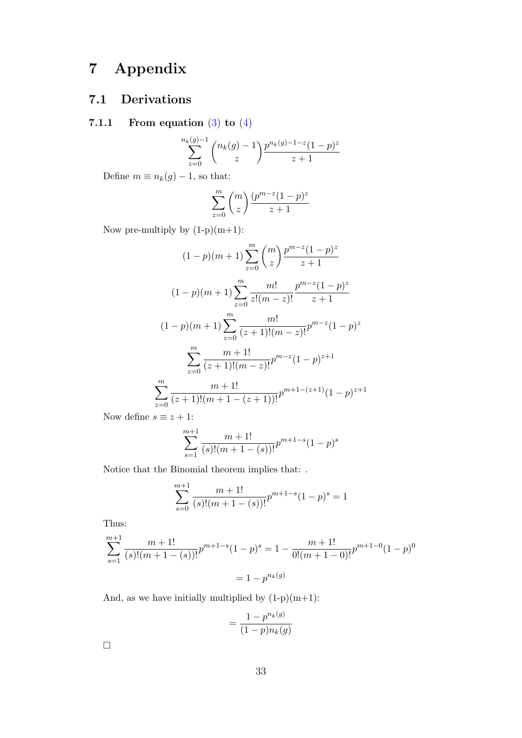## 7 Appendix

## 7.1 Derivations

### 7.1.1 From equation  $(3)$  to  $(4)$

$$
\sum_{z=0}^{n_k(g)-1} \binom{n_k(g)-1}{z} \frac{p^{n_k(g)-1-z}(1-p)^z}{z+1}
$$

Define  $m \equiv n_k(g) - 1$ , so that:

$$
\sum_{z=0}^{m} \binom{m}{z} \frac{(p^{m-z}(1-p)^z}{z+1}
$$

Now pre-multiply by  $(1-p)(m+1)$ :

$$
(1-p)(m+1)\sum_{z=0}^{m} \binom{m}{z} \frac{p^{m-z}(1-p)^z}{z+1}
$$

$$
(1-p)(m+1)\sum_{z=0}^{m} \frac{m!}{z!(m-z)!} \frac{p^{m-z}(1-p)^z}{z+1}
$$

$$
(1-p)(m+1)\sum_{z=0}^{m} \frac{m!}{(z+1)!(m-z)!} p^{m-z}(1-p)^z
$$

$$
\sum_{z=0}^{m} \frac{m+1!}{(z+1)!(m-z)!} p^{m-z}(1-p)^{z+1}
$$

$$
\sum_{z=0}^{m} \frac{m+1!}{(z+1)!(m+1-(z+1))!} p^{m+1-(z+1)}(1-p)^{z+1}
$$

Now define  $s \equiv z + 1$ :

$$
\sum_{s=1}^{m+1} \frac{m+1!}{(s)!(m+1-(s))!} p^{m+1-s} (1-p)^s
$$

Notice that the Binomial theorem implies that: .

$$
\sum_{s=0}^{m+1} \frac{m+1!}{(s)!(m+1-(s))!} p^{m+1-s} (1-p)^s = 1
$$

Thus:

$$
\sum_{s=1}^{m+1} \frac{m+1!}{(s)!(m+1-(s))!} p^{m+1-s} (1-p)^s = 1 - \frac{m+1!}{0!(m+1-0)!} p^{m+1-0} (1-p)^0
$$

$$
= 1 - p^{n_k(g)}
$$

And, as we have initially multiplied by  $(1-p)(m+1)$ :

$$
= \frac{1 - p^{n_k(g)}}{(1 - p)n_k(g)}
$$

 $\Box$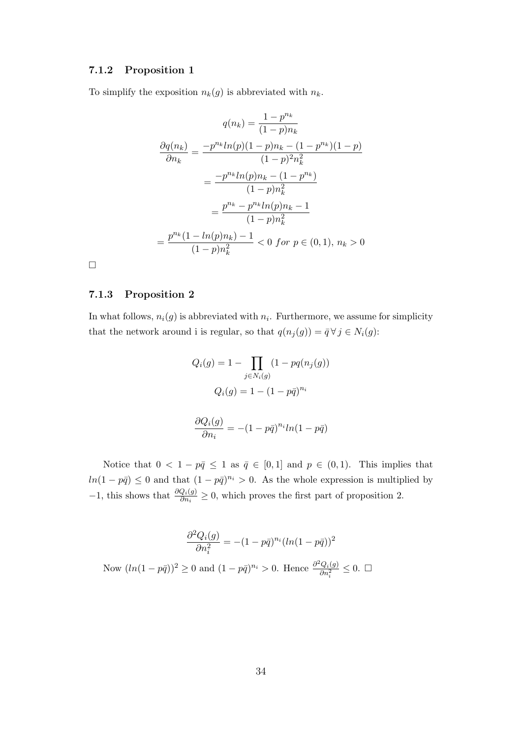### 7.1.2 Proposition 1

To simplify the exposition  $n_k(g)$  is abbreviated with  $n_k$ .

$$
q(n_k) = \frac{1 - p^{n_k}}{(1 - p)n_k}
$$

$$
\frac{\partial q(n_k)}{\partial n_k} = \frac{-p^{n_k}ln(p)(1 - p)n_k - (1 - p^{n_k})(1 - p)}{(1 - p)^2 n_k^2}
$$

$$
= \frac{-p^{n_k}ln(p)n_k - (1 - p^{n_k})}{(1 - p)n_k^2}
$$

$$
= \frac{p^{n_k} - p^{n_k}ln(p)n_k - 1}{(1 - p)n_k^2}
$$

$$
= \frac{p^{n_k}(1 - ln(p)n_k) - 1}{(1 - p)n_k^2} < 0 \text{ for } p \in (0, 1), n_k > 0
$$

 $\Box$ 

### 7.1.3 Proposition 2

In what follows,  $n_i(g)$  is abbreviated with  $n_i$ . Furthermore, we assume for simplicity that the network around i is regular, so that  $q(n_j (g)) = \overline{q} \,\forall \, j \in N_i (g)$ :

$$
Q_i(g) = 1 - \prod_{j \in N_i(g)} (1 - pq(n_j(g)))
$$

$$
Q_i(g) = 1 - (1 - p\bar{q})^{n_i}
$$

$$
\frac{\partial Q_i(g)}{\partial n_i} = -(1 - p\bar{q})^{n_i} ln(1 - p\bar{q})
$$

Notice that  $0 < 1 - p\bar{q} \le 1$  as  $\bar{q} \in [0, 1]$  and  $p \in (0, 1)$ . This implies that  $ln(1-p\bar{q}) \leq 0$  and that  $(1-p\bar{q})^{n_i} > 0$ . As the whole expression is multiplied by −1, this shows that  $\frac{\partial Q_i(g)}{\partial n_i} \geq 0$ , which proves the first part of proposition 2.

$$
\frac{\partial^2 Q_i(g)}{\partial n_i^2} = -(1 - p\bar{q})^{n_i} (ln(1 - p\bar{q}))^2
$$
  
Now  $(ln(1 - p\bar{q}))^2 \ge 0$  and  $(1 - p\bar{q})^{n_i} > 0$ . Hence  $\frac{\partial^2 Q_i(g)}{\partial n_i^2} \le 0$ .  $\square$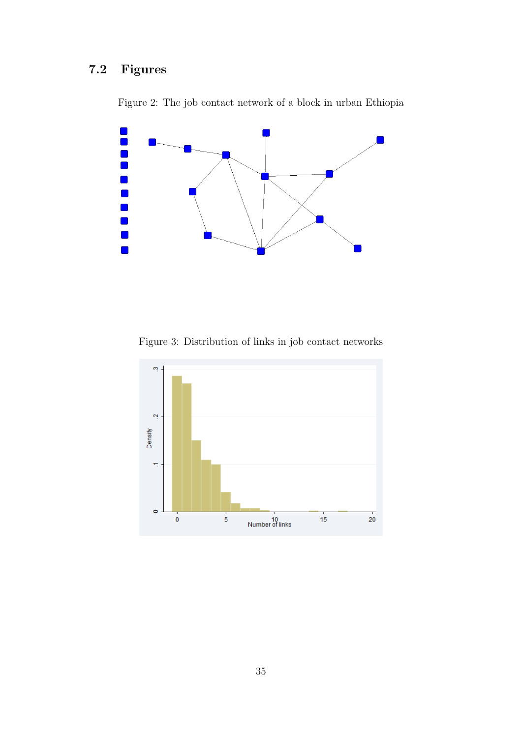## <span id="page-34-0"></span>7.2 Figures



Figure 2: The job contact network of a block in urban Ethiopia

Figure 3: Distribution of links in job contact networks

<span id="page-34-1"></span>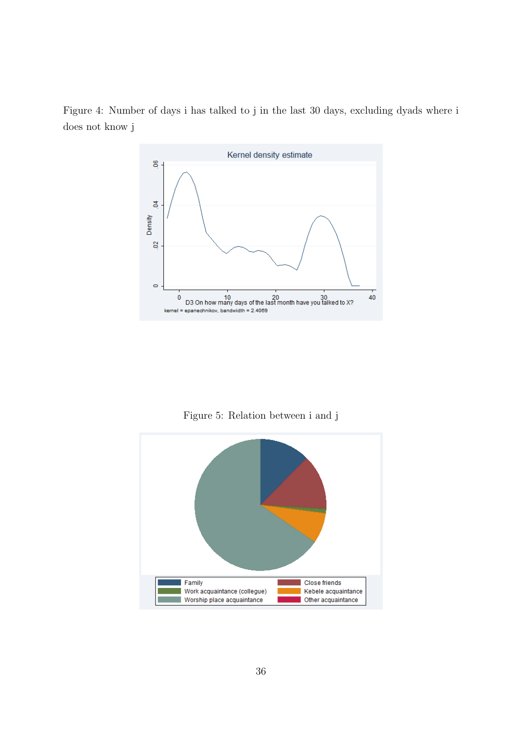<span id="page-35-0"></span>Figure 4: Number of days i has talked to j in the last 30 days, excluding dyads where i does not know j



Figure 5: Relation between i and j

<span id="page-35-1"></span>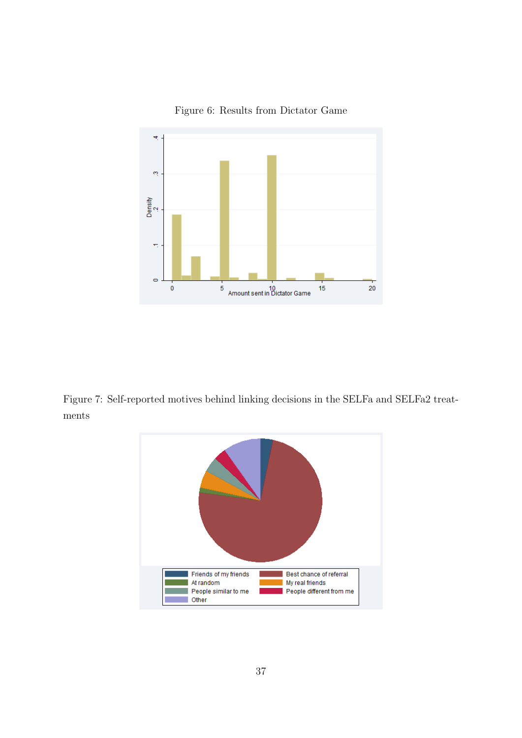<span id="page-36-1"></span>

Figure 6: Results from Dictator Game

<span id="page-36-0"></span>Figure 7: Self-reported motives behind linking decisions in the SELFa and SELFa2 treatments

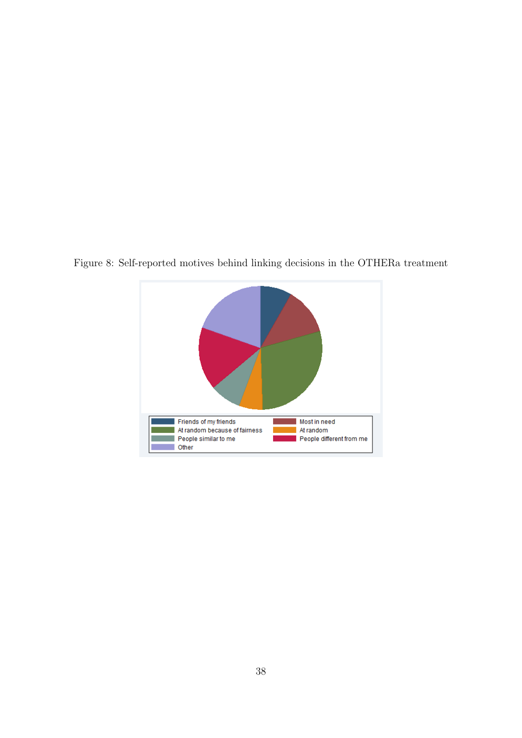

<span id="page-37-0"></span>Figure 8: Self-reported motives behind linking decisions in the OTHERa treatment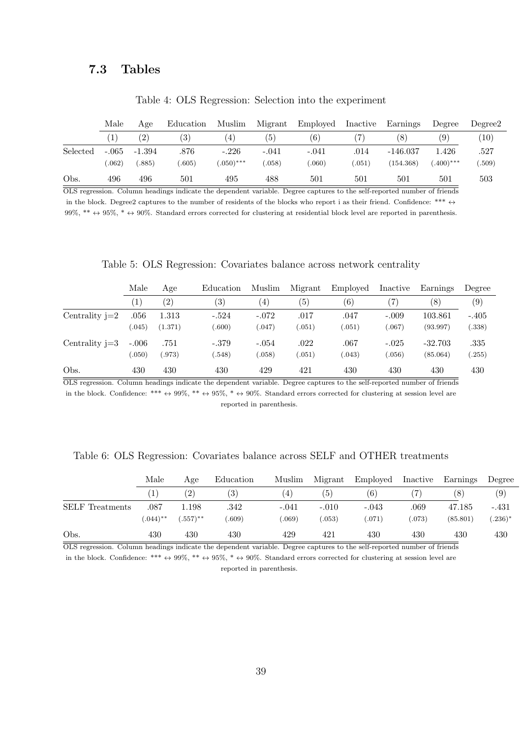### <span id="page-38-0"></span>7.3 Tables

|          | Male    | Age      | Education | Muslim           | Migrant | Employed | Inactive | Earnings   | Degree            | Degree2 |
|----------|---------|----------|-----------|------------------|---------|----------|----------|------------|-------------------|---------|
|          |         | (2)      | (3)       | $\left(4\right)$ | (5)     | (6)      |          | (8)        | $\left( 9\right)$ | (10)    |
| Selected | $-.065$ | $-1.394$ | .876      | $-.226$          | -.041   | -.041    | .014     | $-146.037$ | 1.426             | .527    |
|          | .062)   | .885)    | .605)     | $(050)$ ***      | (.058)  | 060)     | .051)    | (154.368)  | $(.400)$ ***      | .509)   |
| Obs.     | 496     | 496      | 501       | 495              | 488     | 501      | 501      | 501        | 501               | 503     |

Table 4: OLS Regression: Selection into the experiment

OLS regression. Column headings indicate the dependent variable. Degree captures to the self-reported number of friends in the block. Degree2 captures to the number of residents of the blocks who report i as their friend. Confidence: \*\*\*  $\leftrightarrow$ 99%, \*\*  $\leftrightarrow$  95%, \*  $\leftrightarrow$  90%. Standard errors corrected for clustering at residential block level are reported in parenthesis.

Table 5: OLS Regression: Covariates balance across network centrality

<span id="page-38-1"></span>

|                  | Male             | Age               | Education         | Muslim  | Migrant | Employed | Inactive | Earnings  | Degree            |
|------------------|------------------|-------------------|-------------------|---------|---------|----------|----------|-----------|-------------------|
|                  | $\left(1\right)$ | $\left( 2\right)$ | $\left( 3\right)$ | (4)     | (5)     | (6)      | 7)       | (8)       | $\left( 9\right)$ |
| Centrality $j=2$ | .056             | 1.313             | $-.524$           | $-.072$ | .017    | .047     | $-.009$  | 103.861   | $-.405$           |
|                  | (.045)           | (1.371)           | (.600)            | (.047)  | (.051)  | (0.051)  | (.067)   | (93.997)  | (.338)            |
| Centrality $j=3$ | $-.006$          | .751              | $-.379$           | $-.054$ | .022    | .067     | $-.025$  | $-32.703$ | .335              |
|                  | 0.050)           | (.973)            | (.548)            | (.058)  | (.051)  | 043)     | 0.056)   | (85.064)  | (.255)            |
| Obs.             | 430              | 430               | 430               | 429     | 421     | 430      | 430      | 430       | 430               |

OLS regression. Column headings indicate the dependent variable. Degree captures to the self-reported number of friends in the block. Confidence: \*\*\*  $\leftrightarrow$  99%, \*\*  $\leftrightarrow$  95%, \*  $\leftrightarrow$  90%. Standard errors corrected for clustering at session level are reported in parenthesis.

<span id="page-38-2"></span>

|  | Table 6: OLS Regression: Covariates balance across SELF and OTHER treatments |  |
|--|------------------------------------------------------------------------------|--|
|--|------------------------------------------------------------------------------|--|

|                        | Male                  | Age               | Education | Muslim         | Migrant | Employed | Inactive | Earnings | Degree    |
|------------------------|-----------------------|-------------------|-----------|----------------|---------|----------|----------|----------|-----------|
|                        |                       | $\left( 2\right)$ | (3)       | $\overline{4}$ | (5)     | (6)      |          | (8)      | (9)       |
| <b>SELF</b> Treatments | .087                  | 1.198             | .342      | $-.041$        | $-.010$ | $-.043$  | .069     | 47.185   | $-.431$   |
|                        | $0.044$ <sup>**</sup> | $(.557)$ **       | .609)     | (.069)         | (.053)  | .071)    | (.073)   | (85.801) | $(.236)*$ |
| Obs.                   | 430                   | 430               | 430       | 429            | 421     | 430      | 430      | 430      | 430       |

OLS regression. Column headings indicate the dependent variable. Degree captures to the self-reported number of friends in the block. Confidence: \*\*\*  $\leftrightarrow$  99%, \*\*  $\leftrightarrow$  95%, \*  $\leftrightarrow$  90%. Standard errors corrected for clustering at session level are

reported in parenthesis.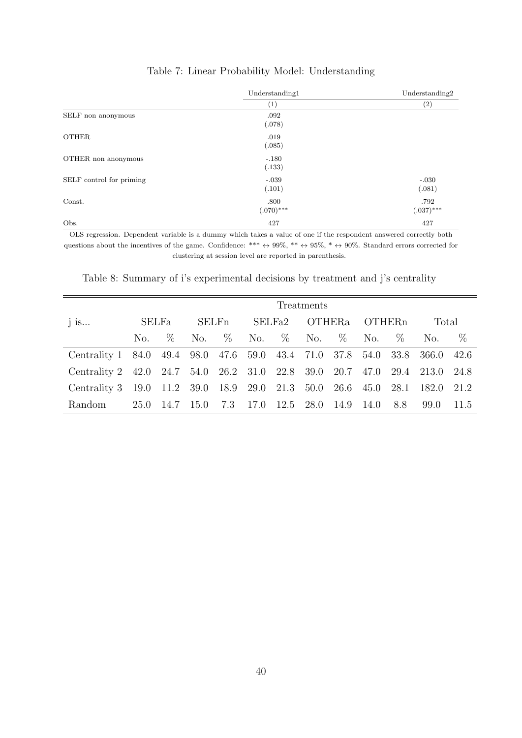<span id="page-39-0"></span>

|                          | Understanding1 | Understanding2 |
|--------------------------|----------------|----------------|
|                          | (1)            | (2)            |
| SELF non anonymous       | .092           |                |
|                          | (.078)         |                |
| <b>OTHER</b>             | .019           |                |
|                          | (.085)         |                |
| OTHER non anonymous      | $-.180$        |                |
|                          | (.133)         |                |
| SELF control for priming | $-.039$        | $-.030$        |
|                          | (.101)         | (.081)         |
| Const.                   | .800           | .792           |
|                          | $(.070)$ ***   | $(.037)$ ***   |
| Obs.                     | 427            | 427            |

### Table 7: Linear Probability Model: Understanding

OLS regression. Dependent variable is a dummy which takes a value of one if the respondent answered correctly both questions about the incentives of the game. Confidence: \*\*\*  $\leftrightarrow$  99%, \*\*  $\leftrightarrow$  95%, \*  $\leftrightarrow$  90%. Standard errors corrected for clustering at session level are reported in parenthesis.

| Treatments                                                           |      |       |      |                          |      |           |               |      |           |      |       |       |
|----------------------------------------------------------------------|------|-------|------|--------------------------|------|-----------|---------------|------|-----------|------|-------|-------|
| $j$ is                                                               |      | SELFa |      | <b>SELF</b> <sub>n</sub> |      | SELFa2    | <b>OTHERa</b> |      | OTHERn    |      | Total |       |
|                                                                      | No.  | $\%$  | No.  | $\%$                     |      |           | No. % No.     | $\%$ | No.       | $\%$ | No.   | $\%$  |
| Centrality 1 84.0 49.4 98.0 47.6 59.0 43.4 71.0 37.8 54.0 33.8 366.0 |      |       |      |                          |      |           |               |      |           |      |       | 42.6  |
| Centrality 2 42.0 24.7 54.0 26.2 31.0 22.8 39.0 20.7 47.0 29.4 213.0 |      |       |      |                          |      |           |               |      |           |      |       | -24.8 |
| Centrality 3 19.0 11.2 39.0 18.9 29.0 21.3 50.0 26.6 45.0 28.1       |      |       |      |                          |      |           |               |      |           |      | 182.0 | 21.2  |
| Random                                                               | 25.0 | 14.7  | 15.0 | 7.3                      | 17.0 | 12.5 28.0 |               |      | 14.9 14.0 | 8.8  | 99.0  | -11.5 |

<span id="page-39-1"></span>Table 8: Summary of i's experimental decisions by treatment and j's centrality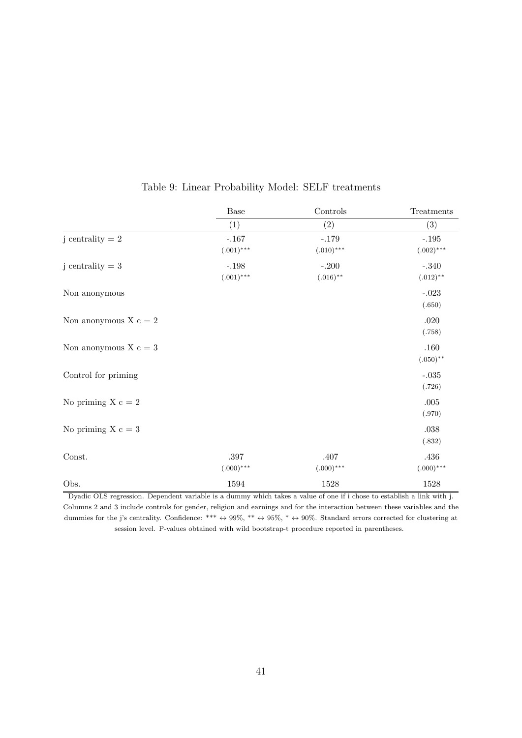<span id="page-40-0"></span>

|                         | Base         | Controls     | Treatments   |
|-------------------------|--------------|--------------|--------------|
|                         | (1)          | (2)          | (3)          |
| j centrality $= 2$      | $-.167$      | $-.179$      | $-.195$      |
|                         | $(.001)$ *** | $(.010)$ *** | $(.002)$ *** |
| j centrality $= 3$      | $-.198$      | $-.200$      | $-.340$      |
|                         | $(.001)$ *** | $(.016)$ **  | $(.012)$ **  |
| Non anonymous           |              |              | $-.023$      |
|                         |              |              | (.650)       |
| Non anonymous $X c = 2$ |              |              | $.020\,$     |
|                         |              |              | (.758)       |
| Non anonymous $X_c = 3$ |              |              | .160         |
|                         |              |              | $(.050)$ **  |
| Control for priming     |              |              | $-.035$      |
|                         |              |              | (.726)       |
| No priming $X_c = 2$    |              |              | $.005\,$     |
|                         |              |              | (.970)       |
| No priming $X_c = 3$    |              |              | $.038\,$     |
|                         |              |              | (.832)       |
| Const.                  | $.397\,$     | $.407$       | .436         |
|                         | $(.000)$ *** | $(.000)$ *** | $(.000)$ *** |
| Obs.                    | 1594         | 1528         | 1528         |

### Table 9: Linear Probability Model: SELF treatments

Dyadic OLS regression. Dependent variable is a dummy which takes a value of one if i chose to establish a link with j. Columns 2 and 3 include controls for gender, religion and earnings and for the interaction between these variables and the dummies for the j's centrality. Confidence: \*\*\*  $\leftrightarrow$  99%, \*\*  $\leftrightarrow$  95%, \*  $\leftrightarrow$  90%. Standard errors corrected for clustering at session level. P-values obtained with wild bootstrap-t procedure reported in parentheses.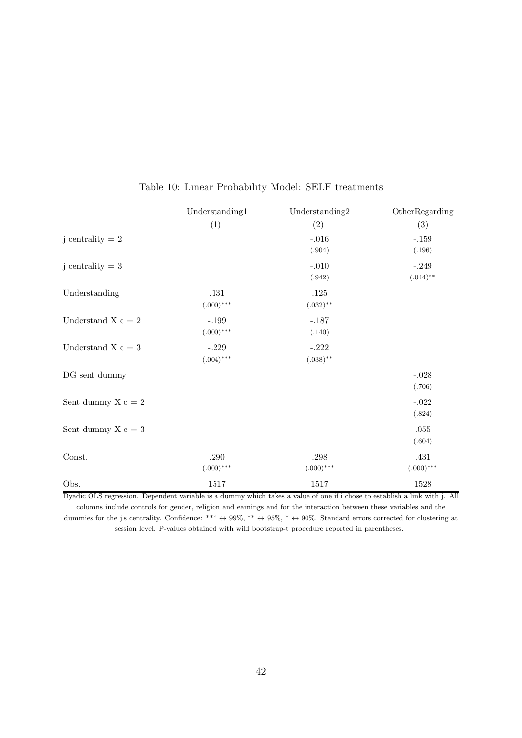<span id="page-41-0"></span>

|                        | Understanding1 | Understanding2 | OtherRegarding |
|------------------------|----------------|----------------|----------------|
|                        | (1)            | (2)            | (3)            |
| j centrality $= 2$     |                | $-.016$        | $-.159$        |
|                        |                | (.904)         | (.196)         |
| j centrality $= 3$     |                | $-.010$        | $-.249$        |
|                        |                | (.942)         | $(.044)$ **    |
| Understanding          | $.131\,$       | .125           |                |
|                        | $(.000)$ ***   | $(.032)$ **    |                |
| Understand X $c = 2$   | $-.199$        | $-.187$        |                |
|                        | $(.000)$ ***   | (.140)         |                |
| Understand X $\rm c=3$ | $-.229$        | $-.222$        |                |
|                        | $(.004)$ ***   | $(.038)$ **    |                |
| DG sent dummy          |                |                | $-.028$        |
|                        |                |                | (.706)         |
| Sent dummy $X c = 2$   |                |                | $-.022$        |
|                        |                |                | (.824)         |
| Sent dummy $X_c = 3$   |                |                | .055           |
|                        |                |                | (.604)         |
| Const.                 | $.290\,$       | $.298\,$       | .431           |
|                        | $(.000)$ ***   | $(.000)$ ***   | $(.000)$ ***   |
| Obs.                   | 1517           | 1517           | 1528           |

### Table 10: Linear Probability Model: SELF treatments

Dyadic OLS regression. Dependent variable is a dummy which takes a value of one if i chose to establish a link with j. All columns include controls for gender, religion and earnings and for the interaction between these variables and the dummies for the j's centrality. Confidence: \*\*\*  $\leftrightarrow$  99%, \*\*  $\leftrightarrow$  95%, \*  $\leftrightarrow$  90%. Standard errors corrected for clustering at session level. P-values obtained with wild bootstrap-t procedure reported in parentheses.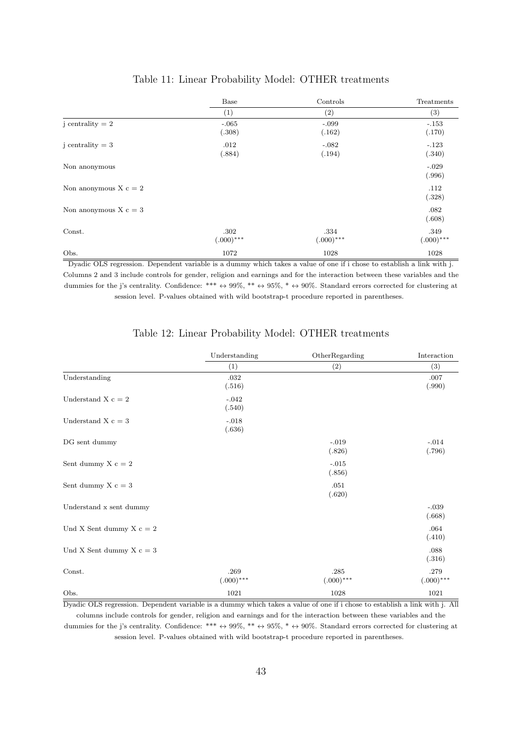<span id="page-42-0"></span>

|                         | Base                 | Controls             | Treatments           |
|-------------------------|----------------------|----------------------|----------------------|
|                         | $\left( 1\right)$    | $\left( 2\right)$    | (3)                  |
| j centrality $= 2$      | $-.065$<br>(.308)    | $-.099$<br>(.162)    | $-.153$<br>(.170)    |
| j centrality $= 3$      | .012<br>(.884)       | $-.082$<br>(.194)    | $-.123$<br>(.340)    |
| Non anonymous           |                      |                      | $-.029$<br>(.996)    |
| Non anonymous $X c = 2$ |                      |                      | .112<br>(.328)       |
| Non anonymous $X_c = 3$ |                      |                      | .082<br>(.608)       |
| Const.                  | .302<br>$(.000)$ *** | .334<br>$(.000)$ *** | .349<br>$(.000)$ *** |
| Obs.                    | 1072                 | 1028                 | 1028                 |

### Table 11: Linear Probability Model: OTHER treatments

Dyadic OLS regression. Dependent variable is a dummy which takes a value of one if i chose to establish a link with j. Columns 2 and 3 include controls for gender, religion and earnings and for the interaction between these variables and the dummies for the j's centrality. Confidence: \*\*\*  $\leftrightarrow$  99%, \*\*  $\leftrightarrow$  95%, \*  $\leftrightarrow$  90%. Standard errors corrected for clustering at session level. P-values obtained with wild bootstrap-t procedure reported in parentheses.

<span id="page-42-1"></span>

|                                 | Understanding<br>(1) | OtherRegarding<br>(2) | Interaction<br>(3)   |
|---------------------------------|----------------------|-----------------------|----------------------|
|                                 |                      |                       |                      |
| Understanding                   | .032<br>(.516)       |                       | .007<br>(.990)       |
| Understand X $c = 2$            | $-.042$<br>(.540)    |                       |                      |
| Understand X $c = 3$            | $-.018$<br>(.636)    |                       |                      |
| DG sent dummy                   |                      | $-.019$<br>(.826)     | $-.014$<br>(.796)    |
| Sent dummy $X c = 2$            |                      | $-.015$<br>(.856)     |                      |
| Sent dummy $X_c = 3$            |                      | .051<br>(.620)        |                      |
| Understand ${\bf x}$ sent dummy |                      |                       | $-.039$<br>(.668)    |
| Und X Sent dummy X $c = 2$      |                      |                       | .064<br>(.410)       |
| Und X Sent dummy $X c = 3$      |                      |                       | .088<br>(.316)       |
| Const.                          | .269<br>$(.000)$ *** | .285<br>$(.000)$ ***  | .279<br>$(.000)$ *** |
| Obs.                            | 1021                 | 1028                  | 1021                 |

### Table 12: Linear Probability Model: OTHER treatments

Dyadic OLS regression. Dependent variable is a dummy which takes a value of one if i chose to establish a link with j. All columns include controls for gender, religion and earnings and for the interaction between these variables and the dummies for the j's centrality. Confidence: \*\*\*  $\leftrightarrow$  99%, \*\*  $\leftrightarrow$  95%, \*  $\leftrightarrow$  90%. Standard errors corrected for clustering at session level. P-values obtained with wild bootstrap-t procedure reported in parentheses.